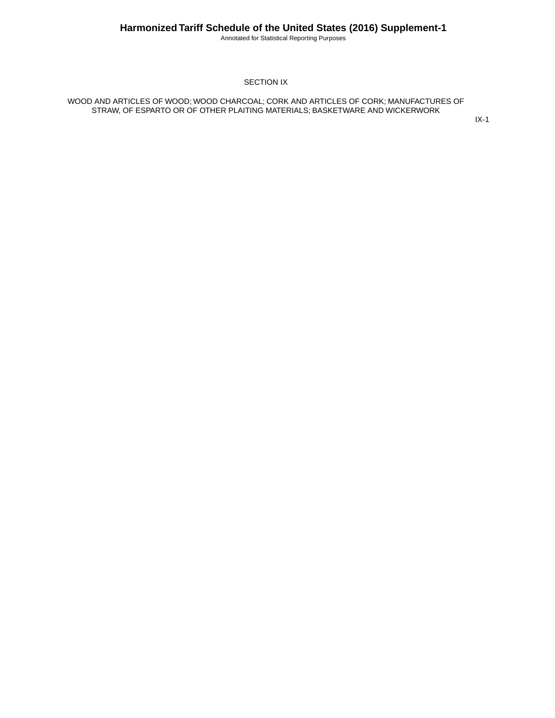Annotated for Statistical Reporting Purposes

#### SECTION IX

WOOD AND ARTICLES OF WOOD; WOOD CHARCOAL; CORK AND ARTICLES OF CORK; MANUFACTURES OF STRAW, OF ESPARTO OR OF OTHER PLAITING MATERIALS; BASKETWARE AND WICKERWORK

IX-1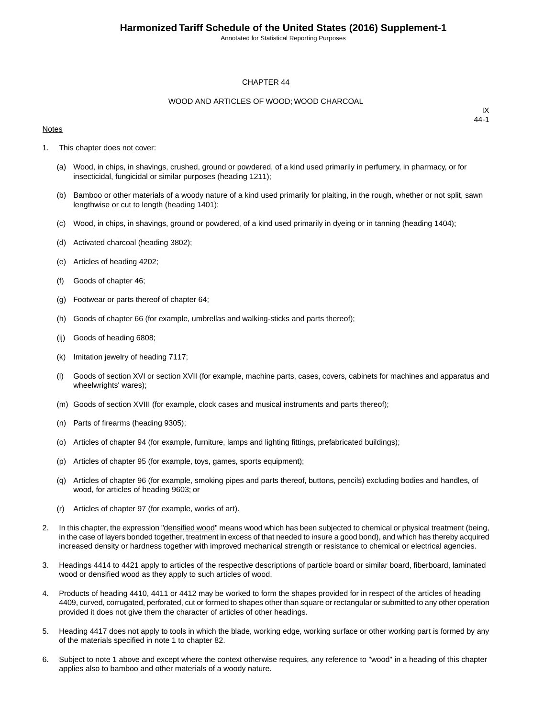Annotated for Statistical Reporting Purposes

#### CHAPTER 44

#### WOOD AND ARTICLES OF WOOD; WOOD CHARCOAL

#### **Notes**

- 1. This chapter does not cover:
	- (a) Wood, in chips, in shavings, crushed, ground or powdered, of a kind used primarily in perfumery, in pharmacy, or for insecticidal, fungicidal or similar purposes (heading 1211);
	- (b) Bamboo or other materials of a woody nature of a kind used primarily for plaiting, in the rough, whether or not split, sawn lengthwise or cut to length (heading 1401);
	- (c) Wood, in chips, in shavings, ground or powdered, of a kind used primarily in dyeing or in tanning (heading 1404);
	- (d) Activated charcoal (heading 3802);
	- (e) Articles of heading 4202;
	- (f) Goods of chapter 46;
	- (g) Footwear or parts thereof of chapter 64;
	- (h) Goods of chapter 66 (for example, umbrellas and walking-sticks and parts thereof);
	- (ij) Goods of heading 6808;
	- (k) Imitation jewelry of heading 7117;
	- (l) Goods of section XVI or section XVII (for example, machine parts, cases, covers, cabinets for machines and apparatus and wheelwrights' wares);
	- (m) Goods of section XVIII (for example, clock cases and musical instruments and parts thereof);
	- (n) Parts of firearms (heading 9305);
	- (o) Articles of chapter 94 (for example, furniture, lamps and lighting fittings, prefabricated buildings);
	- (p) Articles of chapter 95 (for example, toys, games, sports equipment);
	- (q) Articles of chapter 96 (for example, smoking pipes and parts thereof, buttons, pencils) excluding bodies and handles, of wood, for articles of heading 9603; or
	- (r) Articles of chapter 97 (for example, works of art).
- 2. In this chapter, the expression "densified wood" means wood which has been subjected to chemical or physical treatment (being, in the case of layers bonded together, treatment in excess of that needed to insure a good bond), and which has thereby acquired increased density or hardness together with improved mechanical strength or resistance to chemical or electrical agencies.
- 3. Headings 4414 to 4421 apply to articles of the respective descriptions of particle board or similar board, fiberboard, laminated wood or densified wood as they apply to such articles of wood.
- 4. Products of heading 4410, 4411 or 4412 may be worked to form the shapes provided for in respect of the articles of heading 4409, curved, corrugated, perforated, cut or formed to shapes other than square or rectangular or submitted to any other operation provided it does not give them the character of articles of other headings.
- 5. Heading 4417 does not apply to tools in which the blade, working edge, working surface or other working part is formed by any of the materials specified in note 1 to chapter 82.
- 6. Subject to note 1 above and except where the context otherwise requires, any reference to "wood" in a heading of this chapter applies also to bamboo and other materials of a woody nature.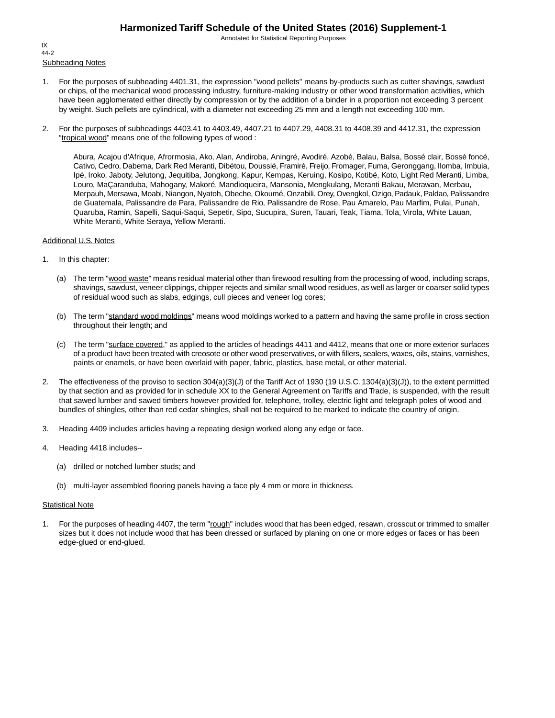Annotated for Statistical Reporting Purposes

Subheading Notes IX 44-2

- 1. For the purposes of subheading 4401.31, the expression "wood pellets" means by-products such as cutter shavings, sawdust or chips, of the mechanical wood processing industry, furniture-making industry or other wood transformation activities, which have been agglomerated either directly by compression or by the addition of a binder in a proportion not exceeding 3 percent by weight. Such pellets are cylindrical, with a diameter not exceeding 25 mm and a length not exceeding 100 mm.
- 2. For the purposes of subheadings 4403.41 to 4403.49, 4407.21 to 4407.29, 4408.31 to 4408.39 and 4412.31, the expression "tropical wood" means one of the following types of wood :

Abura, Acajou d'Afrique, Afrormosia, Ako, Alan, Andiroba, Aningré, Avodiré, Azobé, Balau, Balsa, Bossé clair, Bossé foncé, Cativo, Cedro, Dabema, Dark Red Meranti, Dibétou, Doussié, Framiré, Freijo, Fromager, Fuma, Geronggang, Ilomba, Imbuia, Ipé, Iroko, Jaboty, Jelutong, Jequitiba, Jongkong, Kapur, Kempas, Keruing, Kosipo, Kotibé, Koto, Light Red Meranti, Limba, Louro, MaÇaranduba, Mahogany, Makoré, Mandioqueira, Mansonia, Mengkulang, Meranti Bakau, Merawan, Merbau, Merpauh, Mersawa, Moabi, Niangon, Nyatoh, Obeche, Okoumé, Onzabili, Orey, Ovengkol, Ozigo, Padauk, Paldao, Palissandre de Guatemala, Palissandre de Para, Palissandre de Rio, Palissandre de Rose, Pau Amarelo, Pau Marfim, Pulai, Punah, Quaruba, Ramin, Sapelli, Saqui-Saqui, Sepetir, Sipo, Sucupira, Suren, Tauari, Teak, Tiama, Tola, Virola, White Lauan, White Meranti, White Seraya, Yellow Meranti.

#### Additional U.S. Notes

- 1. In this chapter:
	- (a) The term "wood waste" means residual material other than firewood resulting from the processing of wood, including scraps, shavings, sawdust, veneer clippings, chipper rejects and similar small wood residues, as well as larger or coarser solid types of residual wood such as slabs, edgings, cull pieces and veneer log cores;
	- (b) The term "standard wood moldings" means wood moldings worked to a pattern and having the same profile in cross section throughout their length; and
	- (c) The term "surface covered," as applied to the articles of headings 4411 and 4412, means that one or more exterior surfaces of a product have been treated with creosote or other wood preservatives, or with fillers, sealers, waxes, oils, stains, varnishes, paints or enamels, or have been overlaid with paper, fabric, plastics, base metal, or other material.
- 2. The effectiveness of the proviso to section 304(a)(3)(J) of the Tariff Act of 1930 (19 U.S.C. 1304(a)(3)(J)), to the extent permitted by that section and as provided for in schedule XX to the General Agreement on Tariffs and Trade, is suspended, with the result that sawed lumber and sawed timbers however provided for, telephone, trolley, electric light and telegraph poles of wood and bundles of shingles, other than red cedar shingles, shall not be required to be marked to indicate the country of origin.
- 3. Heading 4409 includes articles having a repeating design worked along any edge or face.
- 4. Heading 4418 includes--
	- (a) drilled or notched lumber studs; and
	- (b) multi-layer assembled flooring panels having a face ply 4 mm or more in thickness.

#### **Statistical Note**

1. For the purposes of heading 4407, the term "rough" includes wood that has been edged, resawn, crosscut or trimmed to smaller sizes but it does not include wood that has been dressed or surfaced by planing on one or more edges or faces or has been edge-glued or end-glued.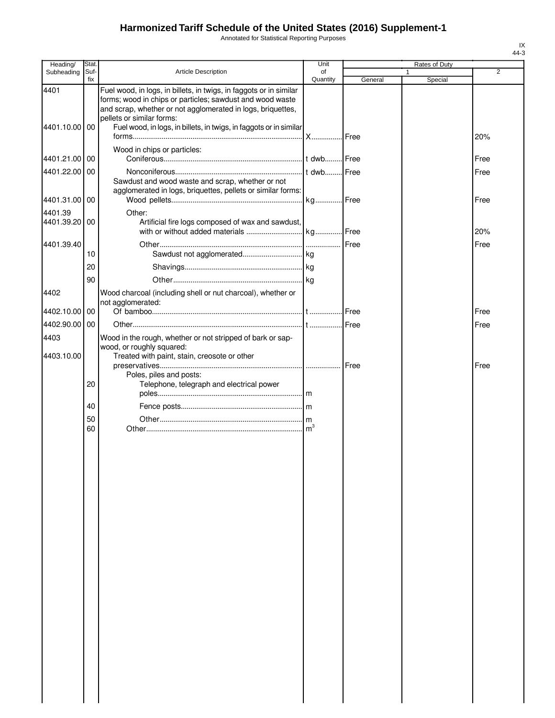Annotated for Statistical Reporting Purposes

| Heading/                 | Stat.       |                                                                                                                                                                                                                             | Unit           |         | Rates of Duty |      |
|--------------------------|-------------|-----------------------------------------------------------------------------------------------------------------------------------------------------------------------------------------------------------------------------|----------------|---------|---------------|------|
| Subheading               | Suf-<br>fix | Article Description                                                                                                                                                                                                         | οf<br>Quantity | General | 1<br>Special  | 2    |
| 4401                     |             | Fuel wood, in logs, in billets, in twigs, in faggots or in similar<br>forms; wood in chips or particles; sawdust and wood waste<br>and scrap, whether or not agglomerated in logs, briquettes,<br>pellets or similar forms: |                |         |               |      |
| 4401.10.00               | 00          | Fuel wood, in logs, in billets, in twigs, in faggots or in similar                                                                                                                                                          |                |         |               | 20%  |
| 4401.21.00               | 00          | Wood in chips or particles:                                                                                                                                                                                                 |                |         |               | Free |
| 4401.22.00               | 00          | Sawdust and wood waste and scrap, whether or not<br>agglomerated in logs, briquettes, pellets or similar forms:                                                                                                             |                |         |               | Free |
| 4401.31.00 00            |             |                                                                                                                                                                                                                             |                |         |               | Free |
| 4401.39<br>4401.39.20 00 |             | Other:<br>Artificial fire logs composed of wax and sawdust,                                                                                                                                                                 |                |         |               | 20%  |
| 4401.39.40               |             |                                                                                                                                                                                                                             |                | Free    |               | Free |
|                          | 10          |                                                                                                                                                                                                                             |                |         |               |      |
|                          | 20          |                                                                                                                                                                                                                             |                |         |               |      |
| 4402                     | 90          | Wood charcoal (including shell or nut charcoal), whether or                                                                                                                                                                 |                |         |               |      |
|                          |             | not agglomerated:                                                                                                                                                                                                           |                |         |               |      |
| 4402.10.00               | 00          |                                                                                                                                                                                                                             |                |         |               | Free |
| 4402.90.00               | 00          |                                                                                                                                                                                                                             |                |         |               | Free |
| 4403                     |             | Wood in the rough, whether or not stripped of bark or sap-<br>wood, or roughly squared:                                                                                                                                     |                |         |               |      |
| 4403.10.00               |             | Treated with paint, stain, creosote or other                                                                                                                                                                                |                |         |               |      |
|                          |             |                                                                                                                                                                                                                             |                |         |               | Free |
|                          | 20          | Poles, piles and posts:<br>Telephone, telegraph and electrical power                                                                                                                                                        |                |         |               |      |
|                          |             |                                                                                                                                                                                                                             |                |         |               |      |
|                          | 40          |                                                                                                                                                                                                                             |                |         |               |      |
|                          | 50          |                                                                                                                                                                                                                             |                |         |               |      |
|                          | 60          |                                                                                                                                                                                                                             | m <sup>3</sup> |         |               |      |
|                          |             |                                                                                                                                                                                                                             |                |         |               |      |
|                          |             |                                                                                                                                                                                                                             |                |         |               |      |
|                          |             |                                                                                                                                                                                                                             |                |         |               |      |
|                          |             |                                                                                                                                                                                                                             |                |         |               |      |
|                          |             |                                                                                                                                                                                                                             |                |         |               |      |
|                          |             |                                                                                                                                                                                                                             |                |         |               |      |
|                          |             |                                                                                                                                                                                                                             |                |         |               |      |
|                          |             |                                                                                                                                                                                                                             |                |         |               |      |
|                          |             |                                                                                                                                                                                                                             |                |         |               |      |
|                          |             |                                                                                                                                                                                                                             |                |         |               |      |
|                          |             |                                                                                                                                                                                                                             |                |         |               |      |
|                          |             |                                                                                                                                                                                                                             |                |         |               |      |
|                          |             |                                                                                                                                                                                                                             |                |         |               |      |
|                          |             |                                                                                                                                                                                                                             |                |         |               |      |
|                          |             |                                                                                                                                                                                                                             |                |         |               |      |
|                          |             |                                                                                                                                                                                                                             |                |         |               |      |
|                          |             |                                                                                                                                                                                                                             |                |         |               |      |
|                          |             |                                                                                                                                                                                                                             |                |         |               |      |
|                          |             |                                                                                                                                                                                                                             |                |         |               |      |
|                          |             |                                                                                                                                                                                                                             |                |         |               |      |
|                          |             |                                                                                                                                                                                                                             |                |         |               |      |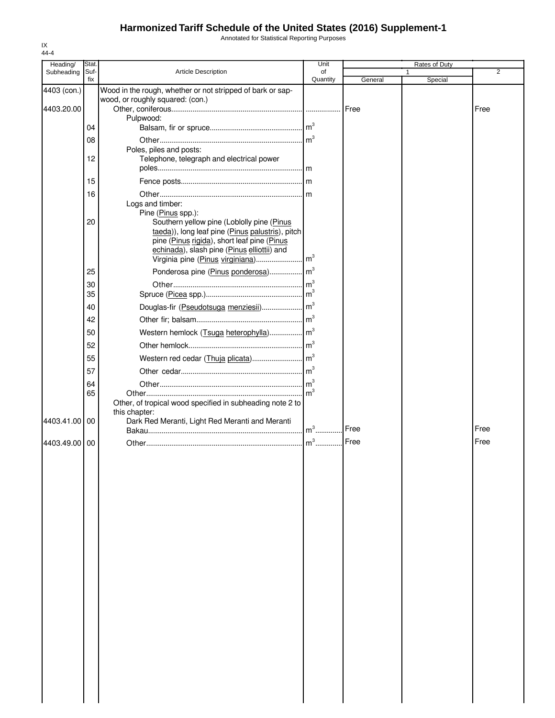Annotated for Statistical Reporting Purposes

| Heading/    | Stat.       |                                                                                                | Unit           |         | Rates of Duty | 2    |
|-------------|-------------|------------------------------------------------------------------------------------------------|----------------|---------|---------------|------|
| Subheading  | Suf-<br>fix | <b>Article Description</b>                                                                     | of<br>Quantity | General | Special       |      |
| 4403 (con.) |             | Wood in the rough, whether or not stripped of bark or sap-                                     |                |         |               |      |
|             |             | wood, or roughly squared: (con.)                                                               |                |         |               |      |
| 4403.20.00  |             | Pulpwood:                                                                                      |                |         |               | Free |
|             | 04          |                                                                                                |                |         |               |      |
|             | 08          |                                                                                                | m <sup>3</sup> |         |               |      |
|             |             | Poles, piles and posts:                                                                        |                |         |               |      |
|             | 12          | Telephone, telegraph and electrical power                                                      |                |         |               |      |
|             |             |                                                                                                |                |         |               |      |
|             | 15          |                                                                                                |                |         |               |      |
|             | 16          |                                                                                                |                |         |               |      |
|             |             | Logs and timber:                                                                               |                |         |               |      |
|             |             | Pine (Pinus spp.):                                                                             |                |         |               |      |
|             | 20          | Southern yellow pine (Loblolly pine (Pinus<br>taeda)), long leaf pine (Pinus palustris), pitch |                |         |               |      |
|             |             | pine (Pinus rigida), short leaf pine (Pinus                                                    |                |         |               |      |
|             |             | echinada), slash pine (Pinus elliottii) and                                                    |                |         |               |      |
|             |             | Virginia pine (Pinus virginiana)                                                               | m <sup>3</sup> |         |               |      |
|             | 25          | Ponderosa pine (Pinus ponderosa) m <sup>3</sup>                                                |                |         |               |      |
|             | 30          |                                                                                                |                |         |               |      |
|             | 35          |                                                                                                |                |         |               |      |
|             | 40          |                                                                                                |                |         |               |      |
|             | 42          |                                                                                                |                |         |               |      |
|             | 50          |                                                                                                |                |         |               |      |
|             | 52          |                                                                                                | m <sup>3</sup> |         |               |      |
|             | 55          |                                                                                                |                |         |               |      |
|             | 57          |                                                                                                |                |         |               |      |
|             |             |                                                                                                | m <sup>3</sup> |         |               |      |
|             | 64<br>65    |                                                                                                |                |         |               |      |
|             |             | Other, of tropical wood specified in subheading note 2 to                                      |                |         |               |      |
|             |             | this chapter:                                                                                  |                |         |               |      |
| 4403.41.00  | 00          | Dark Red Meranti, Light Red Meranti and Meranti                                                | $m3$           | Free    |               | Free |
|             |             |                                                                                                |                | Free    |               | Free |
| 4403.49.00  | 00          |                                                                                                | $m^3$          |         |               |      |
|             |             |                                                                                                |                |         |               |      |
|             |             |                                                                                                |                |         |               |      |
|             |             |                                                                                                |                |         |               |      |
|             |             |                                                                                                |                |         |               |      |
|             |             |                                                                                                |                |         |               |      |
|             |             |                                                                                                |                |         |               |      |
|             |             |                                                                                                |                |         |               |      |
|             |             |                                                                                                |                |         |               |      |
|             |             |                                                                                                |                |         |               |      |
|             |             |                                                                                                |                |         |               |      |
|             |             |                                                                                                |                |         |               |      |
|             |             |                                                                                                |                |         |               |      |
|             |             |                                                                                                |                |         |               |      |
|             |             |                                                                                                |                |         |               |      |
|             |             |                                                                                                |                |         |               |      |
|             |             |                                                                                                |                |         |               |      |
|             |             |                                                                                                |                |         |               |      |
|             |             |                                                                                                |                |         |               |      |
|             |             |                                                                                                |                |         |               |      |
|             |             |                                                                                                |                |         |               |      |
|             |             |                                                                                                |                |         |               |      |
|             |             |                                                                                                |                |         |               |      |

IX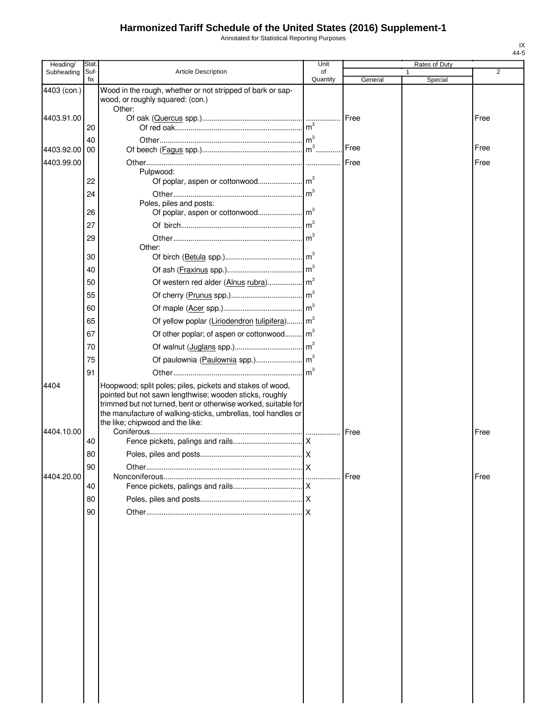Annotated for Statistical Reporting Purposes

| Heading/                 | Stat        |                                                                                                                                                                                                                                                                                             | Unit           |         | Rates of Duty |      |
|--------------------------|-------------|---------------------------------------------------------------------------------------------------------------------------------------------------------------------------------------------------------------------------------------------------------------------------------------------|----------------|---------|---------------|------|
| Subheading               | Suf-<br>fix | <b>Article Description</b>                                                                                                                                                                                                                                                                  | οf<br>Quantity | General | 1<br>Special  | 2    |
| 4403 (con.)              |             | Wood in the rough, whether or not stripped of bark or sap-<br>wood, or roughly squared: (con.)                                                                                                                                                                                              |                |         |               |      |
| 4403.91.00               | 20          | Other:                                                                                                                                                                                                                                                                                      | m <sup>3</sup> | Free    |               | Free |
|                          | 40          |                                                                                                                                                                                                                                                                                             |                |         |               |      |
| 4403.92.00<br>4403.99.00 | 00          |                                                                                                                                                                                                                                                                                             |                | Free    |               | Free |
|                          |             | Pulpwood:                                                                                                                                                                                                                                                                                   |                |         |               | Free |
|                          | 22          |                                                                                                                                                                                                                                                                                             |                |         |               |      |
|                          | 24          | Poles, piles and posts:                                                                                                                                                                                                                                                                     |                |         |               |      |
|                          | 26          |                                                                                                                                                                                                                                                                                             |                |         |               |      |
|                          | 27          |                                                                                                                                                                                                                                                                                             |                |         |               |      |
|                          | 29          | Other:                                                                                                                                                                                                                                                                                      |                |         |               |      |
|                          | 30          |                                                                                                                                                                                                                                                                                             |                |         |               |      |
|                          | 40          |                                                                                                                                                                                                                                                                                             |                |         |               |      |
|                          | 50          |                                                                                                                                                                                                                                                                                             |                |         |               |      |
|                          | 55          |                                                                                                                                                                                                                                                                                             |                |         |               |      |
|                          | 60<br>65    | Of yellow poplar (Liriodendron tulipifera) m <sup>3</sup>                                                                                                                                                                                                                                   |                |         |               |      |
|                          | 67          | Of other poplar; of aspen or cottonwood m <sup>3</sup>                                                                                                                                                                                                                                      |                |         |               |      |
|                          | 70          |                                                                                                                                                                                                                                                                                             |                |         |               |      |
|                          | 75          |                                                                                                                                                                                                                                                                                             |                |         |               |      |
|                          | 91          |                                                                                                                                                                                                                                                                                             |                |         |               |      |
| 4404                     |             | Hoopwood; split poles; piles, pickets and stakes of wood,<br>pointed but not sawn lengthwise; wooden sticks, roughly<br>trimmed but not turned, bent or otherwise worked, suitable for<br>the manufacture of walking-sticks, umbrellas, tool handles or<br>the like; chipwood and the like: |                |         |               |      |
| 4404.10.00               | 40          |                                                                                                                                                                                                                                                                                             |                | Free    |               | Free |
|                          | 80          |                                                                                                                                                                                                                                                                                             |                |         |               |      |
|                          | 90          |                                                                                                                                                                                                                                                                                             | ΙX             |         |               |      |
| 4404.20.00               |             |                                                                                                                                                                                                                                                                                             |                | Free    |               | Free |
|                          | 40<br>80    |                                                                                                                                                                                                                                                                                             |                |         |               |      |
|                          | 90          |                                                                                                                                                                                                                                                                                             |                |         |               |      |
|                          |             |                                                                                                                                                                                                                                                                                             |                |         |               |      |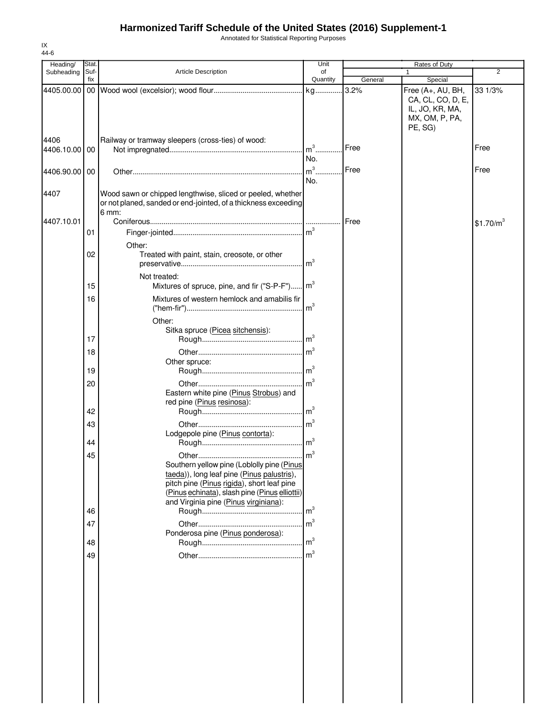IX 44-6 Annotated for Statistical Reporting Purposes

| Heading/              | Stat.       |                                                                                                                                                                                                                                   | Unit           |         | Rates of Duty                                                     |                       |
|-----------------------|-------------|-----------------------------------------------------------------------------------------------------------------------------------------------------------------------------------------------------------------------------------|----------------|---------|-------------------------------------------------------------------|-----------------------|
| Subheading            | Suf-<br>fix | Article Description                                                                                                                                                                                                               | of<br>Quantity | General | 1<br>Special                                                      | 2                     |
| 4405.00.00            |             |                                                                                                                                                                                                                                   |                | 3.2%    | Free (A+, AU, BH,                                                 | 33 1/3%               |
|                       |             |                                                                                                                                                                                                                                   |                |         | CA, CL, CO, D, E,<br>IL, JO, KR, MA,<br>MX, OM, P, PA,<br>PE, SG) |                       |
| 4406<br>4406.10.00 00 |             | Railway or tramway sleepers (cross-ties) of wood:                                                                                                                                                                                 | No.            | Free    |                                                                   | Free                  |
| 4406.90.00 00         |             |                                                                                                                                                                                                                                   | No.            | Free    |                                                                   | Free                  |
| 4407                  |             | Wood sawn or chipped lengthwise, sliced or peeled, whether<br>or not planed, sanded or end-jointed, of a thickness exceeding<br>6 mm:                                                                                             |                |         |                                                                   |                       |
| 4407.10.01            |             |                                                                                                                                                                                                                                   |                | Free    |                                                                   | \$1.70/m <sup>3</sup> |
|                       | 01          |                                                                                                                                                                                                                                   |                |         |                                                                   |                       |
|                       |             | Other:                                                                                                                                                                                                                            |                |         |                                                                   |                       |
|                       | 02          | Treated with paint, stain, creosote, or other                                                                                                                                                                                     |                |         |                                                                   |                       |
|                       | 15          | Not treated:<br>Mixtures of spruce, pine, and fir ("S-P-F") m <sup>3</sup>                                                                                                                                                        |                |         |                                                                   |                       |
|                       | 16          | Mixtures of western hemlock and amabilis fir                                                                                                                                                                                      |                |         |                                                                   |                       |
|                       | 17          | Other:<br>Sitka spruce (Picea sitchensis):                                                                                                                                                                                        |                |         |                                                                   |                       |
|                       | 18          |                                                                                                                                                                                                                                   | m <sup>3</sup> |         |                                                                   |                       |
|                       |             | Other spruce:                                                                                                                                                                                                                     |                |         |                                                                   |                       |
|                       | 19          |                                                                                                                                                                                                                                   |                |         |                                                                   |                       |
|                       | 20          | Eastern white pine (Pinus Strobus) and<br>red pine (Pinus resinosa):                                                                                                                                                              | m <sup>3</sup> |         |                                                                   |                       |
|                       | 42          |                                                                                                                                                                                                                                   |                |         |                                                                   |                       |
|                       | 43          |                                                                                                                                                                                                                                   |                |         |                                                                   |                       |
|                       |             | Lodgepole pine (Pinus contorta):                                                                                                                                                                                                  |                |         |                                                                   |                       |
|                       | 44          |                                                                                                                                                                                                                                   |                |         |                                                                   |                       |
|                       | 45          | Southern yellow pine (Loblolly pine (Pinus<br>taeda)), long leaf pine (Pinus palustris),<br>pitch pine (Pinus rigida), short leaf pine<br>(Pinus echinata), slash pine (Pinus elliottii)<br>and Virginia pine (Pinus virginiana): |                |         |                                                                   |                       |
|                       | 46          |                                                                                                                                                                                                                                   | m <sup>3</sup> |         |                                                                   |                       |
|                       | 47          | Ponderosa pine (Pinus ponderosa):                                                                                                                                                                                                 | m <sup>3</sup> |         |                                                                   |                       |
|                       | 48          |                                                                                                                                                                                                                                   | m <sup>3</sup> |         |                                                                   |                       |
|                       | 49          |                                                                                                                                                                                                                                   |                |         |                                                                   |                       |
|                       |             |                                                                                                                                                                                                                                   |                |         |                                                                   |                       |
|                       |             |                                                                                                                                                                                                                                   |                |         |                                                                   |                       |
|                       |             |                                                                                                                                                                                                                                   |                |         |                                                                   |                       |
|                       |             |                                                                                                                                                                                                                                   |                |         |                                                                   |                       |
|                       |             |                                                                                                                                                                                                                                   |                |         |                                                                   |                       |
|                       |             |                                                                                                                                                                                                                                   |                |         |                                                                   |                       |
|                       |             |                                                                                                                                                                                                                                   |                |         |                                                                   |                       |
|                       |             |                                                                                                                                                                                                                                   |                |         |                                                                   |                       |
|                       |             |                                                                                                                                                                                                                                   |                |         |                                                                   |                       |
|                       |             |                                                                                                                                                                                                                                   |                |         |                                                                   |                       |
|                       |             |                                                                                                                                                                                                                                   |                |         |                                                                   |                       |
|                       |             |                                                                                                                                                                                                                                   |                |         |                                                                   |                       |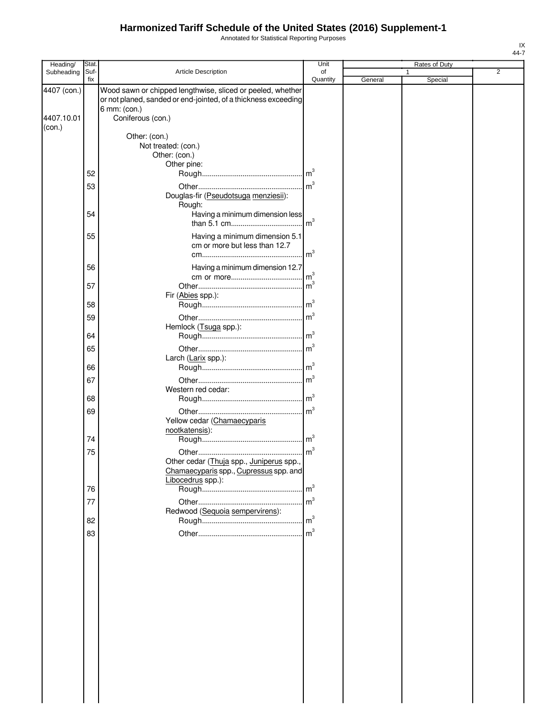Annotated for Statistical Reporting Purposes

| Heading/    | <b>Stat</b> |                                                                | Unit           |         | Rates of Duty |                |
|-------------|-------------|----------------------------------------------------------------|----------------|---------|---------------|----------------|
| Subheading  | Suf-        | Article Description                                            | of             |         |               | $\overline{2}$ |
|             | fix         |                                                                | Quantity       | General | Special       |                |
| 4407 (con.) |             | Wood sawn or chipped lengthwise, sliced or peeled, whether     |                |         |               |                |
|             |             | or not planed, sanded or end-jointed, of a thickness exceeding |                |         |               |                |
|             |             | 6 mm: (con.)                                                   |                |         |               |                |
| 4407.10.01  |             | Coniferous (con.)                                              |                |         |               |                |
| (con.)      |             |                                                                |                |         |               |                |
|             |             | Other: (con.)<br>Not treated: (con.)                           |                |         |               |                |
|             |             | Other: (con.)                                                  |                |         |               |                |
|             |             | Other pine:                                                    |                |         |               |                |
|             | 52          |                                                                |                |         |               |                |
|             |             |                                                                |                |         |               |                |
|             | 53          |                                                                |                |         |               |                |
|             |             | Douglas-fir (Pseudotsuga menziesii):                           |                |         |               |                |
|             | 54          | Rough:<br>Having a minimum dimension less                      |                |         |               |                |
|             |             |                                                                | m <sup>3</sup> |         |               |                |
|             |             |                                                                |                |         |               |                |
|             | 55          | Having a minimum dimension 5.1                                 |                |         |               |                |
|             |             | cm or more but less than 12.7                                  |                |         |               |                |
|             |             |                                                                | m <sup>3</sup> |         |               |                |
|             | 56          | Having a minimum dimension 12.7                                |                |         |               |                |
|             |             |                                                                | m <sup>3</sup> |         |               |                |
|             | 57          |                                                                | m <sup>3</sup> |         |               |                |
|             |             | Fir (Abies spp.):                                              |                |         |               |                |
|             | 58          |                                                                |                |         |               |                |
|             | 59          |                                                                |                |         |               |                |
|             |             | Hemlock (Tsuga spp.):                                          |                |         |               |                |
|             | 64          |                                                                |                |         |               |                |
|             | 65          |                                                                |                |         |               |                |
|             |             | Larch (Larix spp.):                                            |                |         |               |                |
|             | 66          |                                                                |                |         |               |                |
|             |             |                                                                |                |         |               |                |
|             | 67          |                                                                |                |         |               |                |
|             |             | Western red cedar:                                             |                |         |               |                |
|             | 68          |                                                                |                |         |               |                |
|             | 69          |                                                                | m <sup>3</sup> |         |               |                |
|             |             | Yellow cedar (Chamaecyparis                                    |                |         |               |                |
|             |             | nootkatensis):                                                 |                |         |               |                |
|             | 74          |                                                                |                |         |               |                |
|             | 75          |                                                                |                |         |               |                |
|             |             | Other cedar (Thuja spp., Juniperus spp.                        |                |         |               |                |
|             |             | Chamaecyparis spp., Cupressus spp. and                         |                |         |               |                |
|             |             | Libocedrus spp.):                                              |                |         |               |                |
|             | 76          |                                                                |                |         |               |                |
|             | 77          |                                                                |                |         |               |                |
|             |             | Redwood (Sequoia sempervirens):                                |                |         |               |                |
|             | 82          |                                                                |                |         |               |                |
|             | 83          |                                                                |                |         |               |                |
|             |             |                                                                |                |         |               |                |
|             |             |                                                                |                |         |               |                |
|             |             |                                                                |                |         |               |                |
|             |             |                                                                |                |         |               |                |
|             |             |                                                                |                |         |               |                |
|             |             |                                                                |                |         |               |                |
|             |             |                                                                |                |         |               |                |
|             |             |                                                                |                |         |               |                |
|             |             |                                                                |                |         |               |                |
|             |             |                                                                |                |         |               |                |
|             |             |                                                                |                |         |               |                |
|             |             |                                                                |                |         |               |                |
|             |             |                                                                |                |         |               |                |
|             |             |                                                                |                |         |               |                |
|             |             |                                                                |                |         |               |                |
|             |             |                                                                |                |         |               |                |
|             |             |                                                                |                |         |               |                |
|             |             |                                                                |                |         |               |                |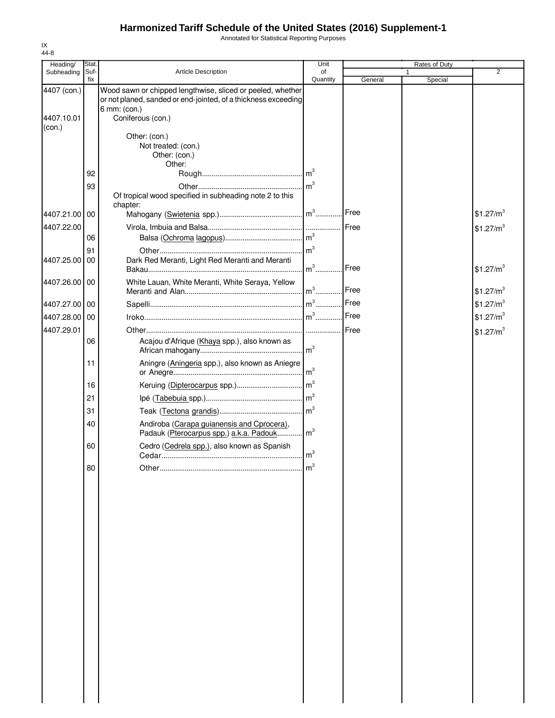Annotated for Statistical Reporting Purposes

| Heading/      | Stat.       |                                                                                | Unit            |         | Rates of Duty |                       |
|---------------|-------------|--------------------------------------------------------------------------------|-----------------|---------|---------------|-----------------------|
| Subheading    | Suf-<br>fix | <b>Article Description</b>                                                     | of<br>Quantity  |         |               | $\overline{2}$        |
| 4407 (con.)   |             | Wood sawn or chipped lengthwise, sliced or peeled, whether                     |                 | General | Special       |                       |
|               |             | or not planed, sanded or end-jointed, of a thickness exceeding<br>6 mm: (con.) |                 |         |               |                       |
| 4407.10.01    |             | Coniferous (con.)                                                              |                 |         |               |                       |
| (con.)        |             |                                                                                |                 |         |               |                       |
|               |             | Other: (con.)                                                                  |                 |         |               |                       |
|               |             | Not treated: (con.)                                                            |                 |         |               |                       |
|               |             | Other: (con.)                                                                  |                 |         |               |                       |
|               |             | Other:                                                                         |                 |         |               |                       |
|               | 92          |                                                                                |                 |         |               |                       |
|               | 93          |                                                                                |                 |         |               |                       |
|               |             | Of tropical wood specified in subheading note 2 to this                        |                 |         |               |                       |
|               |             | chapter:                                                                       |                 |         |               |                       |
| 4407.21.00    | 00          |                                                                                |                 | Free    |               | \$1.27/m <sup>3</sup> |
| 4407.22.00    |             |                                                                                |                 | Free    |               | \$1.27/m <sup>3</sup> |
|               | 06          |                                                                                |                 |         |               |                       |
|               | 91          |                                                                                |                 |         |               |                       |
| 4407.25.00    | 00          | Dark Red Meranti, Light Red Meranti and Meranti                                |                 |         |               |                       |
|               |             |                                                                                | $m^3$           | Free    |               | \$1.27/m <sup>3</sup> |
|               |             |                                                                                |                 |         |               |                       |
| 4407.26.00 00 |             | White Lauan, White Meranti, White Seraya, Yellow                               |                 | Free    |               | \$1.27/m <sup>3</sup> |
|               |             |                                                                                |                 |         |               |                       |
| 4407.27.00 00 |             |                                                                                |                 |         |               | \$1.27/m <sup>3</sup> |
| 4407.28.00 00 |             |                                                                                |                 | Free    |               | \$1.27/m <sup>3</sup> |
| 4407.29.01    |             |                                                                                |                 |         |               | \$1.27/m <sup>3</sup> |
|               | 06          | Acajou d'Afrique (Khaya spp.), also known as                                   |                 |         |               |                       |
|               |             |                                                                                |                 |         |               |                       |
|               |             |                                                                                |                 |         |               |                       |
|               | 11          | Aningre (Aningeria spp.), also known as Aniegre                                |                 |         |               |                       |
|               | 16          |                                                                                |                 |         |               |                       |
|               |             |                                                                                |                 |         |               |                       |
|               | 21          |                                                                                |                 |         |               |                       |
|               | 31          |                                                                                |                 |         |               |                       |
|               | 40          | Andiroba (Carapa guianensis and Cprocera),                                     |                 |         |               |                       |
|               |             | Padauk (Pterocarpus spp.) a.k.a. Padouk                                        | $\mathsf{Im}^3$ |         |               |                       |
|               | 60          | Cedro (Cedrela spp.), also known as Spanish                                    | $\mathsf{Im}^3$ |         |               |                       |
|               |             |                                                                                |                 |         |               |                       |
|               | 80          | Other                                                                          | 1m              |         |               |                       |
|               |             |                                                                                |                 |         |               |                       |
|               |             |                                                                                |                 |         |               |                       |
|               |             |                                                                                |                 |         |               |                       |
|               |             |                                                                                |                 |         |               |                       |
|               |             |                                                                                |                 |         |               |                       |
|               |             |                                                                                |                 |         |               |                       |
|               |             |                                                                                |                 |         |               |                       |
|               |             |                                                                                |                 |         |               |                       |
|               |             |                                                                                |                 |         |               |                       |
|               |             |                                                                                |                 |         |               |                       |
|               |             |                                                                                |                 |         |               |                       |
|               |             |                                                                                |                 |         |               |                       |
|               |             |                                                                                |                 |         |               |                       |
|               |             |                                                                                |                 |         |               |                       |
|               |             |                                                                                |                 |         |               |                       |
|               |             |                                                                                |                 |         |               |                       |
|               |             |                                                                                |                 |         |               |                       |
|               |             |                                                                                |                 |         |               |                       |
|               |             |                                                                                |                 |         |               |                       |
|               |             |                                                                                |                 |         |               |                       |
|               |             |                                                                                |                 |         |               |                       |
|               |             |                                                                                |                 |         |               |                       |
|               |             |                                                                                |                 |         |               |                       |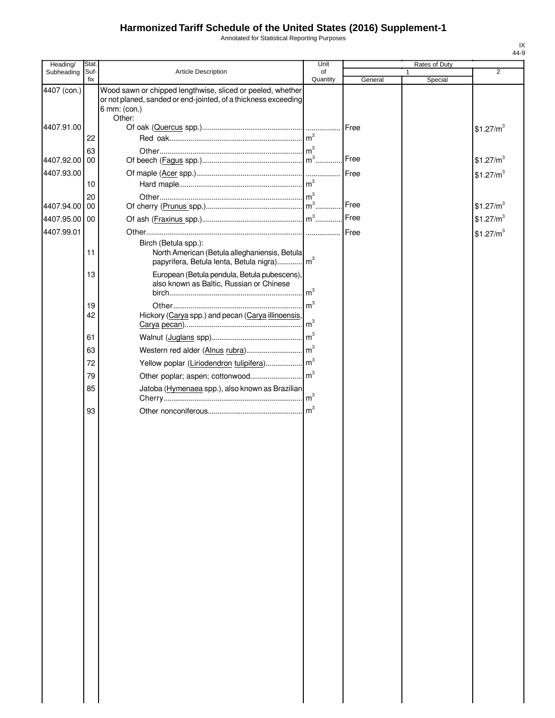Annotated for Statistical Reporting Purposes

| Heading/      | Stat.       |                                                                                                                                                        | Unit            |         | Rates of Duty |                       |
|---------------|-------------|--------------------------------------------------------------------------------------------------------------------------------------------------------|-----------------|---------|---------------|-----------------------|
| Subheading    | Suf-<br>fix | Article Description                                                                                                                                    | of<br>Quantity  | General | 1<br>Special  | $\overline{2}$        |
| 4407 (con.)   |             | Wood sawn or chipped lengthwise, sliced or peeled, whether<br>or not planed, sanded or end-jointed, of a thickness exceeding<br>6 mm: (con.)<br>Other: |                 |         |               |                       |
| 4407.91.00    | 22          |                                                                                                                                                        |                 | Free    |               | \$1.27/m <sup>3</sup> |
| 4407.92.00 00 | 63          |                                                                                                                                                        |                 | Free    |               | \$1.27/m <sup>3</sup> |
| 4407.93.00    | 10          |                                                                                                                                                        |                 | Free    |               | \$1.27/m <sup>3</sup> |
| 4407.94.00 00 | 20          |                                                                                                                                                        |                 | Free    |               | \$1.27/m <sup>3</sup> |
| 4407.95.00 00 |             |                                                                                                                                                        |                 | Free    |               | \$1.27/m <sup>3</sup> |
| 4407.99.01    |             | Birch (Betula spp.):                                                                                                                                   |                 | Free    |               | \$1.27/m <sup>3</sup> |
|               | 11          | North American (Betula alleghaniensis, Betula<br>papyrifera, Betula lenta, Betula nigra) m <sup>3</sup>                                                |                 |         |               |                       |
|               | 13          | European (Betula pendula, Betula pubescens),<br>also known as Baltic, Russian or Chinese                                                               | m <sup>3</sup>  |         |               |                       |
|               | 19<br>42    | Hickory (Carya spp.) and pecan (Carya illinoensis,                                                                                                     | $\mathsf{Im}^3$ |         |               |                       |
|               |             |                                                                                                                                                        | $\mathsf{Im}^3$ |         |               |                       |
|               | 61<br>63    |                                                                                                                                                        |                 |         |               |                       |
|               | 72          |                                                                                                                                                        |                 |         |               |                       |
|               | 79          |                                                                                                                                                        |                 |         |               |                       |
|               |             |                                                                                                                                                        |                 |         |               |                       |
|               | 85          | Jatoba (Hymenaea spp.), also known as Brazilian                                                                                                        |                 |         |               |                       |
|               | 93          |                                                                                                                                                        |                 |         |               |                       |
|               |             |                                                                                                                                                        |                 |         |               |                       |
|               |             |                                                                                                                                                        |                 |         |               |                       |
|               |             |                                                                                                                                                        |                 |         |               |                       |
|               |             |                                                                                                                                                        |                 |         |               |                       |
|               |             |                                                                                                                                                        |                 |         |               |                       |
|               |             |                                                                                                                                                        |                 |         |               |                       |
|               |             |                                                                                                                                                        |                 |         |               |                       |
|               |             |                                                                                                                                                        |                 |         |               |                       |
|               |             |                                                                                                                                                        |                 |         |               |                       |
|               |             |                                                                                                                                                        |                 |         |               |                       |
|               |             |                                                                                                                                                        |                 |         |               |                       |
|               |             |                                                                                                                                                        |                 |         |               |                       |
|               |             |                                                                                                                                                        |                 |         |               |                       |
|               |             |                                                                                                                                                        |                 |         |               |                       |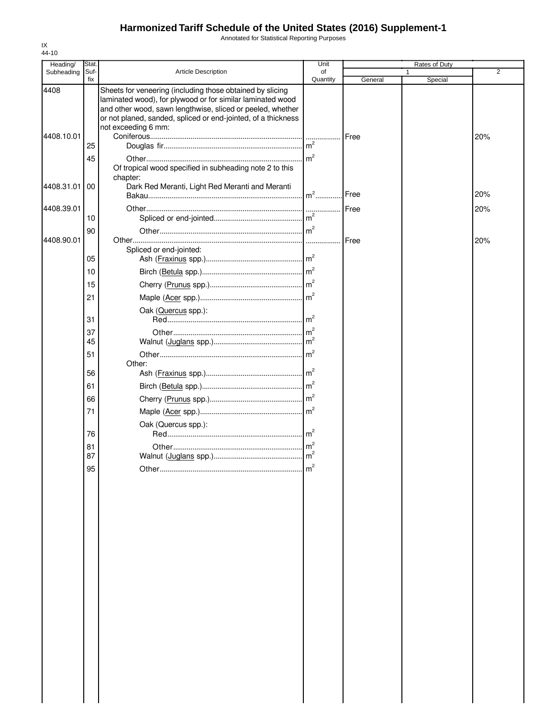Annotated for Statistical Reporting Purposes

| Heading/   | Stat.       |                                                                                                                                                                                                                                                                               | Unit            |         | Rates of Duty |                |
|------------|-------------|-------------------------------------------------------------------------------------------------------------------------------------------------------------------------------------------------------------------------------------------------------------------------------|-----------------|---------|---------------|----------------|
| Subheading | Suf-<br>fix | <b>Article Description</b>                                                                                                                                                                                                                                                    | of<br>Quantity  | General | Special       | $\overline{2}$ |
| 4408       |             | Sheets for veneering (including those obtained by slicing<br>laminated wood), for plywood or for similar laminated wood<br>and other wood, sawn lengthwise, sliced or peeled, whether<br>or not planed, sanded, spliced or end-jointed, of a thickness<br>not exceeding 6 mm: |                 |         |               |                |
| 4408.10.01 |             |                                                                                                                                                                                                                                                                               |                 | Free    |               | 20%            |
|            | 25          |                                                                                                                                                                                                                                                                               |                 |         |               |                |
|            | 45          | Of tropical wood specified in subheading note 2 to this                                                                                                                                                                                                                       | m <sup>2</sup>  |         |               |                |
| 4408.31.01 | 00          | chapter:<br>Dark Red Meranti, Light Red Meranti and Meranti                                                                                                                                                                                                                   |                 |         |               |                |
|            |             |                                                                                                                                                                                                                                                                               | $m2$            | Free    |               | 20%            |
| 4408.39.01 | 10          |                                                                                                                                                                                                                                                                               |                 | Free    |               | 20%            |
|            | 90          |                                                                                                                                                                                                                                                                               |                 |         |               |                |
| 4408.90.01 | 05          | Spliced or end-jointed:                                                                                                                                                                                                                                                       |                 | Free    |               | 20%            |
|            | 10          |                                                                                                                                                                                                                                                                               |                 |         |               |                |
|            | 15          |                                                                                                                                                                                                                                                                               |                 |         |               |                |
|            | 21          |                                                                                                                                                                                                                                                                               |                 |         |               |                |
|            |             | Oak (Quercus spp.):                                                                                                                                                                                                                                                           | $\mathsf{Im}^2$ |         |               |                |
|            | 31          |                                                                                                                                                                                                                                                                               | m <sup>2</sup>  |         |               |                |
|            | 37<br>45    |                                                                                                                                                                                                                                                                               |                 |         |               |                |
|            | 51          |                                                                                                                                                                                                                                                                               | m <sup>2</sup>  |         |               |                |
|            |             | Other:                                                                                                                                                                                                                                                                        |                 |         |               |                |
|            | 56          |                                                                                                                                                                                                                                                                               | $\mathsf{Im}^2$ |         |               |                |
|            | 61          |                                                                                                                                                                                                                                                                               |                 |         |               |                |
|            | 66          |                                                                                                                                                                                                                                                                               |                 |         |               |                |
|            | 71          |                                                                                                                                                                                                                                                                               |                 |         |               |                |
|            | 76          | Oak (Quercus spp.):                                                                                                                                                                                                                                                           |                 |         |               |                |
|            | 81          |                                                                                                                                                                                                                                                                               |                 |         |               |                |
|            | 87          |                                                                                                                                                                                                                                                                               |                 |         |               |                |
|            | 95          |                                                                                                                                                                                                                                                                               | m               |         |               |                |
|            |             |                                                                                                                                                                                                                                                                               |                 |         |               |                |
|            |             |                                                                                                                                                                                                                                                                               |                 |         |               |                |
|            |             |                                                                                                                                                                                                                                                                               |                 |         |               |                |
|            |             |                                                                                                                                                                                                                                                                               |                 |         |               |                |
|            |             |                                                                                                                                                                                                                                                                               |                 |         |               |                |
|            |             |                                                                                                                                                                                                                                                                               |                 |         |               |                |
|            |             |                                                                                                                                                                                                                                                                               |                 |         |               |                |
|            |             |                                                                                                                                                                                                                                                                               |                 |         |               |                |
|            |             |                                                                                                                                                                                                                                                                               |                 |         |               |                |
|            |             |                                                                                                                                                                                                                                                                               |                 |         |               |                |
|            |             |                                                                                                                                                                                                                                                                               |                 |         |               |                |
|            |             |                                                                                                                                                                                                                                                                               |                 |         |               |                |
|            |             |                                                                                                                                                                                                                                                                               |                 |         |               |                |
|            |             |                                                                                                                                                                                                                                                                               |                 |         |               |                |
|            |             |                                                                                                                                                                                                                                                                               |                 |         |               |                |
|            |             |                                                                                                                                                                                                                                                                               |                 |         |               |                |
|            |             |                                                                                                                                                                                                                                                                               |                 |         |               |                |
|            |             |                                                                                                                                                                                                                                                                               |                 |         |               |                |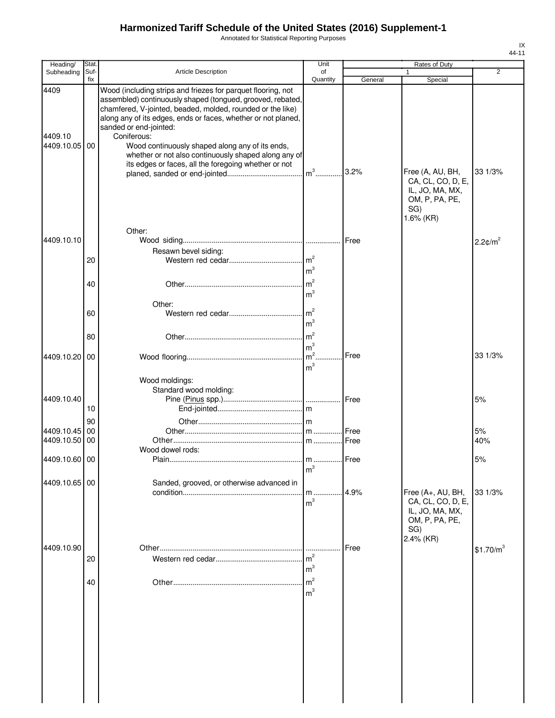Annotated for Statistical Reporting Purposes

| Heading/                      | <b>Stat</b> |                                                                                                                                                                                                                                                                                                                                                                                                                                                                       | Unit                                  |         | Rates of Duty                                                                      |                        |
|-------------------------------|-------------|-----------------------------------------------------------------------------------------------------------------------------------------------------------------------------------------------------------------------------------------------------------------------------------------------------------------------------------------------------------------------------------------------------------------------------------------------------------------------|---------------------------------------|---------|------------------------------------------------------------------------------------|------------------------|
| Subheading                    | Suf-<br>fix | Article Description                                                                                                                                                                                                                                                                                                                                                                                                                                                   | of<br>Quantity                        | General | 1<br>Special                                                                       | 2                      |
| 4409<br>4409.10<br>4409.10.05 | 00          | Wood (including strips and friezes for parquet flooring, not<br>assembled) continuously shaped (tongued, grooved, rebated,<br>chamfered, V-jointed, beaded, molded, rounded or the like)<br>along any of its edges, ends or faces, whether or not planed,<br>sanded or end-jointed:<br>Coniferous:<br>Wood continuously shaped along any of its ends,<br>whether or not also continuously shaped along any of<br>its edges or faces, all the foregoing whether or not |                                       | 3.2%    | Free (A, AU, BH,                                                                   | 33 1/3%                |
|                               |             |                                                                                                                                                                                                                                                                                                                                                                                                                                                                       |                                       |         | CA, CL, CO, D, E,<br>IL, JO, MA, MX,<br>OM, P, PA, PE,<br>SG)<br>1.6% (KR)         |                        |
| 4409.10.10                    |             | Other:                                                                                                                                                                                                                                                                                                                                                                                                                                                                |                                       | Free    |                                                                                    |                        |
|                               |             | Resawn bevel siding:                                                                                                                                                                                                                                                                                                                                                                                                                                                  |                                       |         |                                                                                    | $2.2$ ¢/m <sup>2</sup> |
|                               | 20          |                                                                                                                                                                                                                                                                                                                                                                                                                                                                       | m <sup>3</sup>                        |         |                                                                                    |                        |
|                               | 40          |                                                                                                                                                                                                                                                                                                                                                                                                                                                                       | m <sup>2</sup><br>m <sup>3</sup>      |         |                                                                                    |                        |
|                               | 60          | Other:                                                                                                                                                                                                                                                                                                                                                                                                                                                                | m <sup>2</sup><br>m <sup>3</sup>      |         |                                                                                    |                        |
|                               | 80          |                                                                                                                                                                                                                                                                                                                                                                                                                                                                       | m <sup>3</sup>                        |         |                                                                                    |                        |
| 4409.10.20                    | 00          |                                                                                                                                                                                                                                                                                                                                                                                                                                                                       | m <sup>2</sup><br>m <sup>3</sup>      | Free    |                                                                                    | 33 1/3%                |
| 4409.10.40                    | 10          | Wood moldings:<br>Standard wood molding:                                                                                                                                                                                                                                                                                                                                                                                                                              |                                       |         |                                                                                    | 5%                     |
|                               | 90          |                                                                                                                                                                                                                                                                                                                                                                                                                                                                       |                                       |         |                                                                                    |                        |
| 4409.10.45                    | 00          |                                                                                                                                                                                                                                                                                                                                                                                                                                                                       |                                       |         |                                                                                    | 5%                     |
| 4409.10.50                    | 00          | Wood dowel rods:                                                                                                                                                                                                                                                                                                                                                                                                                                                      |                                       |         |                                                                                    | 40%                    |
| 4409.10.60 00                 |             |                                                                                                                                                                                                                                                                                                                                                                                                                                                                       | m <sup>3</sup>                        |         |                                                                                    | 5%                     |
| 4409.10.65 00                 |             | Sanded, grooved, or otherwise advanced in                                                                                                                                                                                                                                                                                                                                                                                                                             | $m$<br>m <sup>3</sup>                 | 4.9%    | Free (A+, AU, BH,<br>CA, CL, CO, D, E,<br>IL, JO, MA, MX,<br>OM, P, PA, PE,<br>SG) | 33 1/3%                |
| 4409.10.90                    | 20          |                                                                                                                                                                                                                                                                                                                                                                                                                                                                       | .<br>m <sup>2</sup><br>m <sup>3</sup> | Free    | 2.4% (KR)                                                                          | \$1.70/m <sup>3</sup>  |
|                               | 40          |                                                                                                                                                                                                                                                                                                                                                                                                                                                                       | m <sup>2</sup><br>m <sup>3</sup>      |         |                                                                                    |                        |
|                               |             |                                                                                                                                                                                                                                                                                                                                                                                                                                                                       |                                       |         |                                                                                    |                        |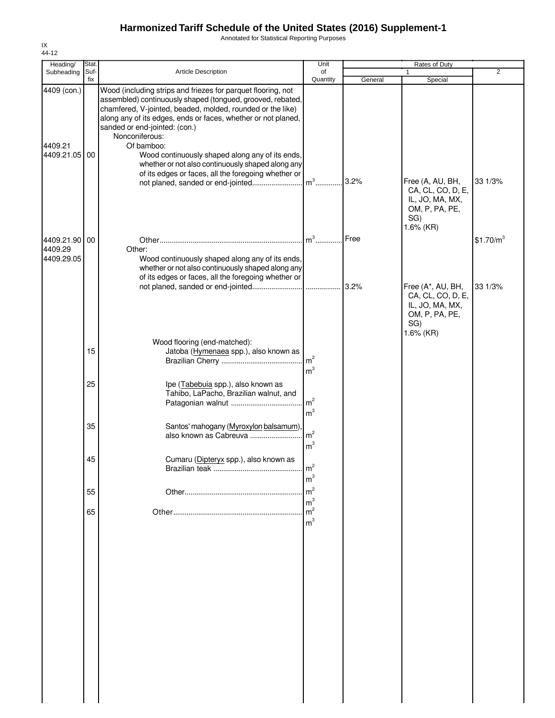Annotated for Statistical Reporting Purposes

| Heading/                 | Stat.       |                                                                                                                                                                                                                                                                                                              |                                  |         | Rates of Duty                                                                                   | $\overline{2}$        |
|--------------------------|-------------|--------------------------------------------------------------------------------------------------------------------------------------------------------------------------------------------------------------------------------------------------------------------------------------------------------------|----------------------------------|---------|-------------------------------------------------------------------------------------------------|-----------------------|
| Subheading               | Suf-<br>fix | <b>Article Description</b>                                                                                                                                                                                                                                                                                   | of<br>Quantity                   | General | Special                                                                                         |                       |
| 4409 (con.)              |             | Wood (including strips and friezes for parquet flooring, not<br>assembled) continuously shaped (tongued, grooved, rebated,<br>chamfered, V-jointed, beaded, molded, rounded or the like)<br>along any of its edges, ends or faces, whether or not planed,<br>sanded or end-jointed: (con.)<br>Nonconiferous: |                                  |         |                                                                                                 |                       |
| 4409.21<br>4409.21.05 00 |             | Of bamboo:<br>Wood continuously shaped along any of its ends,<br>whether or not also continuously shaped along any<br>of its edges or faces, all the foregoing whether or                                                                                                                                    |                                  |         |                                                                                                 |                       |
|                          |             | not planed, sanded or end-jointed                                                                                                                                                                                                                                                                            | $m3$ .                           | 3.2%    | Free (A, AU, BH,<br>CA, CL, CO, D, E,<br>IL, JO, MA, MX,<br>OM, P, PA, PE,<br>SG)<br>1.6% (KR)  | 33 1/3%               |
| 4409.21.90 00            |             |                                                                                                                                                                                                                                                                                                              | $m3$                             | Free    |                                                                                                 | \$1.70/m <sup>3</sup> |
| 4409.29                  |             | Other:                                                                                                                                                                                                                                                                                                       |                                  |         |                                                                                                 |                       |
| 4409.29.05               |             | Wood continuously shaped along any of its ends,<br>whether or not also continuously shaped along any<br>of its edges or faces, all the foregoing whether or                                                                                                                                                  |                                  |         |                                                                                                 |                       |
|                          |             |                                                                                                                                                                                                                                                                                                              |                                  | 3.2%    | Free (A*, AU, BH,<br>CA, CL, CO, D, E,<br>IL, JO, MA, MX,<br>OM, P, PA, PE,<br>SG)<br>1.6% (KR) | 33 1/3%               |
|                          | 15          | Wood flooring (end-matched):<br>Jatoba (Hymenaea spp.), also known as                                                                                                                                                                                                                                        | m <sup>2</sup><br>m <sup>3</sup> |         |                                                                                                 |                       |
|                          | 25          | Ipe (Tabebuia spp.), also known as<br>Tahibo, LaPacho, Brazilian walnut, and                                                                                                                                                                                                                                 | m <sup>2</sup><br>m <sup>3</sup> |         |                                                                                                 |                       |
|                          | 35          | Santos' mahogany (Myroxylon balsamum)<br>also known as Cabreuva                                                                                                                                                                                                                                              | m <sup>2</sup><br>m <sup>3</sup> |         |                                                                                                 |                       |
|                          | 45          | Cumaru (Dipteryx spp.), also known as                                                                                                                                                                                                                                                                        | m <sup>2</sup><br>m <sup>3</sup> |         |                                                                                                 |                       |
|                          | 55          |                                                                                                                                                                                                                                                                                                              | m <sup>2</sup>                   |         |                                                                                                 |                       |
|                          |             |                                                                                                                                                                                                                                                                                                              | m <sup>3</sup>                   |         |                                                                                                 |                       |
|                          | 65          |                                                                                                                                                                                                                                                                                                              | m <sup>2</sup><br>m <sup>3</sup> |         |                                                                                                 |                       |
|                          |             |                                                                                                                                                                                                                                                                                                              |                                  |         |                                                                                                 |                       |
|                          |             |                                                                                                                                                                                                                                                                                                              |                                  |         |                                                                                                 |                       |
|                          |             |                                                                                                                                                                                                                                                                                                              |                                  |         |                                                                                                 |                       |
|                          |             |                                                                                                                                                                                                                                                                                                              |                                  |         |                                                                                                 |                       |
|                          |             |                                                                                                                                                                                                                                                                                                              |                                  |         |                                                                                                 |                       |
|                          |             |                                                                                                                                                                                                                                                                                                              |                                  |         |                                                                                                 |                       |
|                          |             |                                                                                                                                                                                                                                                                                                              |                                  |         |                                                                                                 |                       |

IX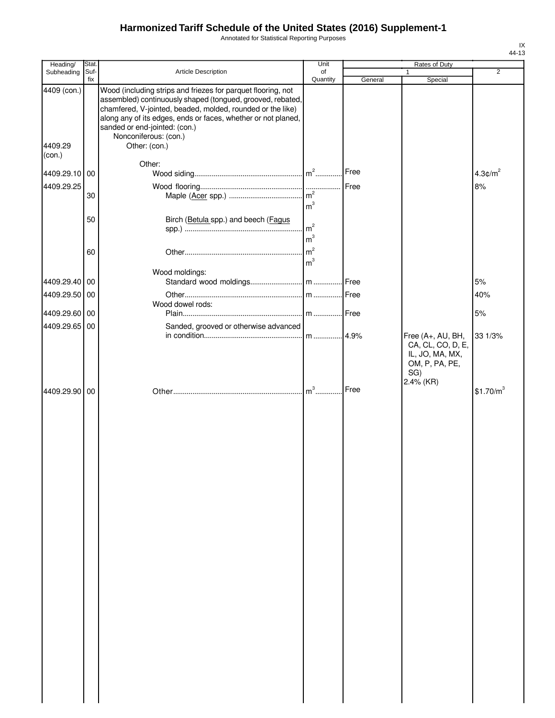Annotated for Statistical Reporting Purposes

| Heading/                         | Stat.       |                                                                                                                                                                                                                                                                                                                                      | Unit           |         | Rates of Duty                                                                                   |                       |
|----------------------------------|-------------|--------------------------------------------------------------------------------------------------------------------------------------------------------------------------------------------------------------------------------------------------------------------------------------------------------------------------------------|----------------|---------|-------------------------------------------------------------------------------------------------|-----------------------|
| Subheading                       | Suf-<br>fix | <b>Article Description</b>                                                                                                                                                                                                                                                                                                           | of<br>Quantity | General | 1<br>Special                                                                                    | $\overline{2}$        |
| 4409 (con.)<br>4409.29<br>(con.) |             | Wood (including strips and friezes for parquet flooring, not<br>assembled) continuously shaped (tongued, grooved, rebated,<br>chamfered, V-jointed, beaded, molded, rounded or the like)<br>along any of its edges, ends or faces, whether or not planed,<br>sanded or end-jointed: (con.)<br>Nonconiferous: (con.)<br>Other: (con.) |                |         |                                                                                                 |                       |
|                                  |             | Other:                                                                                                                                                                                                                                                                                                                               |                |         |                                                                                                 |                       |
| 4409.29.10 00                    |             |                                                                                                                                                                                                                                                                                                                                      |                | Free    |                                                                                                 | $4.3 \text{C/m}^2$    |
| 4409.29.25                       |             |                                                                                                                                                                                                                                                                                                                                      |                |         |                                                                                                 | 8%                    |
|                                  | 30          |                                                                                                                                                                                                                                                                                                                                      | m <sup>3</sup> |         |                                                                                                 |                       |
|                                  | 50          | Birch (Betula spp.) and beech (Fagus                                                                                                                                                                                                                                                                                                 | m <sup>3</sup> |         |                                                                                                 |                       |
|                                  | 60          |                                                                                                                                                                                                                                                                                                                                      |                |         |                                                                                                 |                       |
|                                  |             |                                                                                                                                                                                                                                                                                                                                      | m <sup>3</sup> |         |                                                                                                 |                       |
| 4409.29.40 00                    |             | Wood moldings:                                                                                                                                                                                                                                                                                                                       |                |         |                                                                                                 | 5%                    |
| 4409.29.50                       | 00          |                                                                                                                                                                                                                                                                                                                                      |                |         |                                                                                                 | 40%                   |
|                                  |             | Wood dowel rods:                                                                                                                                                                                                                                                                                                                     |                |         |                                                                                                 |                       |
| 4409.29.60 00                    |             |                                                                                                                                                                                                                                                                                                                                      |                |         |                                                                                                 | 5%                    |
| 4409.29.65                       | 00          | Sanded, grooved or otherwise advanced                                                                                                                                                                                                                                                                                                |                |         |                                                                                                 |                       |
|                                  |             |                                                                                                                                                                                                                                                                                                                                      |                |         | Free (A+, AU, BH,<br>CA, CL, CO, D, E,<br>IL, JO, MA, MX,<br>OM, P, PA, PE,<br>SG)<br>2.4% (KR) | 33 1/3%               |
| 4409.29.90 00                    |             |                                                                                                                                                                                                                                                                                                                                      |                | Free    |                                                                                                 | \$1.70/m <sup>3</sup> |
|                                  |             |                                                                                                                                                                                                                                                                                                                                      |                |         |                                                                                                 |                       |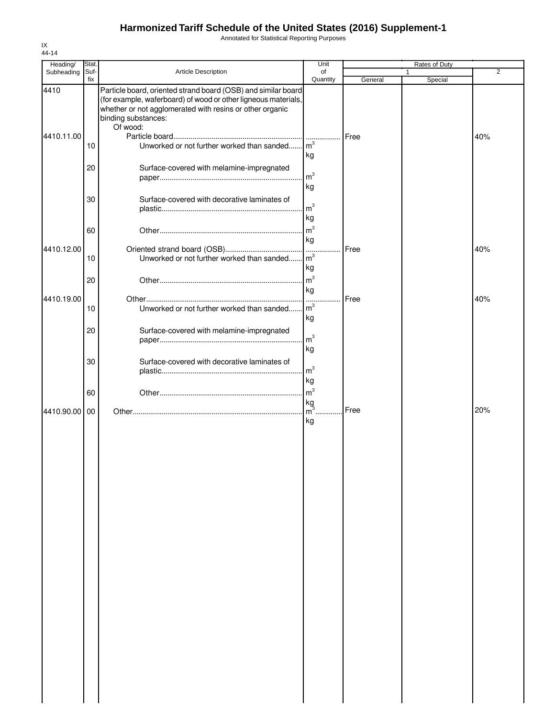Annotated for Statistical Reporting Purposes

| Heading/<br>Subheading | Stat.<br>Suf- | Article Description                                                                                                                                                                                                            | Unit<br>of                             |         | Rates of Duty<br>1 | 2   |
|------------------------|---------------|--------------------------------------------------------------------------------------------------------------------------------------------------------------------------------------------------------------------------------|----------------------------------------|---------|--------------------|-----|
|                        | fix           |                                                                                                                                                                                                                                | Quantity                               | General | Special            |     |
| 4410                   |               | Particle board, oriented strand board (OSB) and similar board<br>(for example, waferboard) of wood or other ligneous materials,<br>whether or not agglomerated with resins or other organic<br>binding substances:<br>Of wood: |                                        |         |                    |     |
| 4410.11.00             | 10            | Unworked or not further worked than sanded                                                                                                                                                                                     | .<br>m <sup>3</sup>                    | Free    |                    | 40% |
|                        | 20            | Surface-covered with melamine-impregnated                                                                                                                                                                                      | kg<br>m <sup>3</sup>                   |         |                    |     |
|                        | 30            | Surface-covered with decorative laminates of                                                                                                                                                                                   | kg<br>m <sup>3</sup>                   |         |                    |     |
|                        | 60            |                                                                                                                                                                                                                                | kg<br>m <sup>3</sup>                   |         |                    |     |
| 4410.12.00             |               |                                                                                                                                                                                                                                | kg                                     | Free    |                    | 40% |
|                        | 10            | Unworked or not further worked than sanded                                                                                                                                                                                     | $\mathsf{m}^3$<br>kg<br>m <sup>3</sup> |         |                    |     |
| 4410.19.00             | 20            |                                                                                                                                                                                                                                | kg<br>1.1.1.1                          | Free    |                    | 40% |
|                        | 10            | Unworked or not further worked than sanded                                                                                                                                                                                     | m <sup>3</sup><br>kg                   |         |                    |     |
|                        | 20            | Surface-covered with melamine-impregnated                                                                                                                                                                                      | m <sup>3</sup><br>kg                   |         |                    |     |
|                        | 30            | Surface-covered with decorative laminates of                                                                                                                                                                                   | m <sup>3</sup>                         |         |                    |     |
|                        | 60            |                                                                                                                                                                                                                                | kg<br>m <sup>3</sup>                   |         |                    |     |
| 4410.90.00             | 00            |                                                                                                                                                                                                                                | $\frac{\text{kg}}{\text{m}^3}$ .<br>kg | Free    |                    | 20% |
|                        |               |                                                                                                                                                                                                                                |                                        |         |                    |     |
|                        |               |                                                                                                                                                                                                                                |                                        |         |                    |     |
|                        |               |                                                                                                                                                                                                                                |                                        |         |                    |     |
|                        |               |                                                                                                                                                                                                                                |                                        |         |                    |     |
|                        |               |                                                                                                                                                                                                                                |                                        |         |                    |     |
|                        |               |                                                                                                                                                                                                                                |                                        |         |                    |     |
|                        |               |                                                                                                                                                                                                                                |                                        |         |                    |     |
|                        |               |                                                                                                                                                                                                                                |                                        |         |                    |     |
|                        |               |                                                                                                                                                                                                                                |                                        |         |                    |     |
|                        |               |                                                                                                                                                                                                                                |                                        |         |                    |     |
|                        |               |                                                                                                                                                                                                                                |                                        |         |                    |     |
|                        |               |                                                                                                                                                                                                                                |                                        |         |                    |     |

IX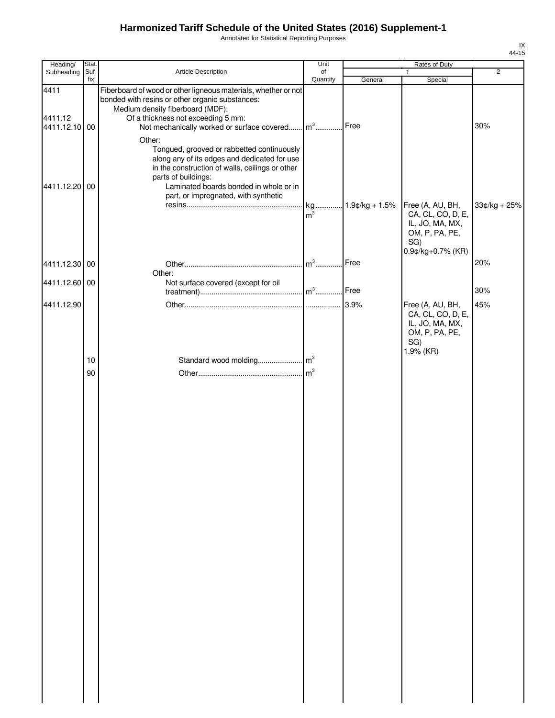Annotated for Statistical Reporting Purposes

| Heading/                         | Stat.       |                                                                                                                                                                                                                                                                                                   | Unit                 |                   | Rates of Duty                                                                     |                |
|----------------------------------|-------------|---------------------------------------------------------------------------------------------------------------------------------------------------------------------------------------------------------------------------------------------------------------------------------------------------|----------------------|-------------------|-----------------------------------------------------------------------------------|----------------|
| Subheading                       | Suf-<br>fix | Article Description                                                                                                                                                                                                                                                                               | of<br>Quantity       |                   | $\mathbf{1}$                                                                      | $\overline{2}$ |
| 4411<br>4411.12<br>4411.12.10 00 |             | Fiberboard of wood or other ligneous materials, whether or not<br>bonded with resins or other organic substances:<br>Medium density fiberboard (MDF):<br>Of a thickness not exceeding 5 mm:<br>Not mechanically worked or surface covered<br>Other:<br>Tongued, grooved or rabbetted continuously | $m3$                 | General<br>Free   | Special                                                                           | 30%            |
| 4411.12.20 00                    |             | along any of its edges and dedicated for use<br>in the construction of walls, ceilings or other<br>parts of buildings:<br>Laminated boards bonded in whole or in<br>part, or impregnated, with synthetic                                                                                          | kg<br>m <sup>3</sup> | $1.9$ ¢/kg + 1.5% | Free (A, AU, BH,<br>CA, CL, CO, D, E,<br>IL, JO, MA, MX,<br>OM, P, PA, PE,<br>SG) | $33¢/kg + 25%$ |
| 4411.12.30 00                    |             |                                                                                                                                                                                                                                                                                                   | $m3$                 | Free              | 0.9¢/kg+0.7% (KR)                                                                 | 20%            |
| 4411.12.60 00                    |             | Other:<br>Not surface covered (except for oil                                                                                                                                                                                                                                                     | $m^3$                | Free              |                                                                                   | 30%            |
| 4411.12.90                       |             |                                                                                                                                                                                                                                                                                                   | .                    | 3.9%              | Free (A, AU, BH,<br>CA, CL, CO, D, E,<br>IL, JO, MA, MX,<br>OM, P, PA, PE,<br>SG) | 45%            |
|                                  |             |                                                                                                                                                                                                                                                                                                   |                      |                   |                                                                                   |                |
|                                  |             |                                                                                                                                                                                                                                                                                                   |                      |                   |                                                                                   |                |
|                                  | 10<br>90    |                                                                                                                                                                                                                                                                                                   | m <sup>3</sup>       |                   | 1.9% (KR)                                                                         |                |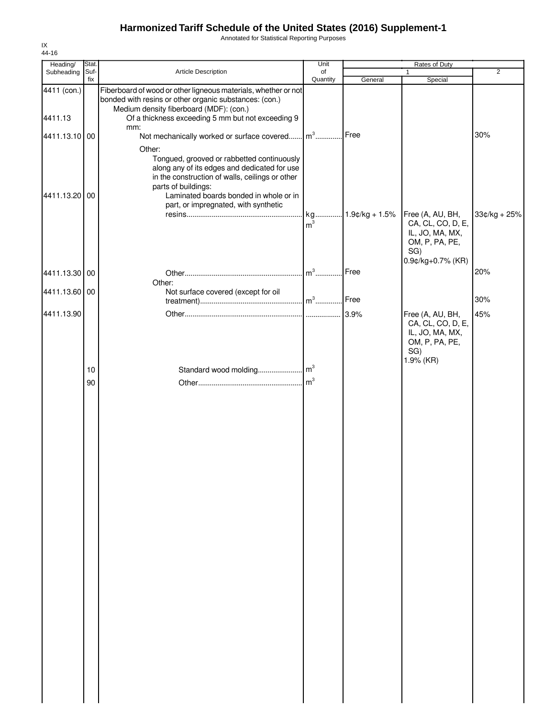Annotated for Statistical Reporting Purposes

| Heading/      | Stat.    |                                                                                                                                                                                                                          | Unit                 |                   | Rates of Duty                                                                                          |                |
|---------------|----------|--------------------------------------------------------------------------------------------------------------------------------------------------------------------------------------------------------------------------|----------------------|-------------------|--------------------------------------------------------------------------------------------------------|----------------|
| Subheading    | Suf-     | Article Description                                                                                                                                                                                                      | of                   |                   | $\mathbf{1}$                                                                                           | $\overline{2}$ |
| 4411 (con.)   | fix      | Fiberboard of wood or other ligneous materials, whether or not<br>bonded with resins or other organic substances: (con.)                                                                                                 | Quantity             | General           | Special                                                                                                |                |
| 4411.13       |          | Medium density fiberboard (MDF): (con.)<br>Of a thickness exceeding 5 mm but not exceeding 9                                                                                                                             |                      |                   |                                                                                                        |                |
| 4411.13.10 00 |          | mm:<br>Not mechanically worked or surface covered                                                                                                                                                                        | $m3$                 | Free              |                                                                                                        | 30%            |
| 4411.13.20 00 |          | Other:<br>Tongued, grooved or rabbetted continuously<br>along any of its edges and dedicated for use<br>in the construction of walls, ceilings or other<br>parts of buildings:<br>Laminated boards bonded in whole or in |                      |                   |                                                                                                        |                |
|               |          | part, or impregnated, with synthetic                                                                                                                                                                                     |                      |                   |                                                                                                        |                |
|               |          |                                                                                                                                                                                                                          | kg<br>m <sup>3</sup> | $1.9$ ¢/kg + 1.5% | Free (A, AU, BH,<br>CA, CL, CO, D, E,<br>IL, JO, MA, MX,<br>OM, P, PA, PE,<br>SG)<br>0.9¢/kg+0.7% (KR) | 33¢/kg + 25%   |
| 4411.13.30 00 |          |                                                                                                                                                                                                                          | $m3$                 | Free              |                                                                                                        | 20%            |
| 4411.13.60 00 |          | Other:<br>Not surface covered (except for oil                                                                                                                                                                            |                      | Free              |                                                                                                        | 30%            |
| 4411.13.90    |          |                                                                                                                                                                                                                          |                      | 3.9%              | Free (A, AU, BH,                                                                                       | 45%            |
|               | 10<br>90 |                                                                                                                                                                                                                          |                      |                   | CA, CL, CO, D, E,<br>IL, JO, MA, MX,<br>OM, P, PA, PE,<br>SG)<br>1.9% (KR)                             |                |
|               |          |                                                                                                                                                                                                                          |                      |                   |                                                                                                        |                |
|               |          |                                                                                                                                                                                                                          |                      |                   |                                                                                                        |                |
|               |          |                                                                                                                                                                                                                          |                      |                   |                                                                                                        |                |
|               |          |                                                                                                                                                                                                                          |                      |                   |                                                                                                        |                |
|               |          |                                                                                                                                                                                                                          |                      |                   |                                                                                                        |                |
|               |          |                                                                                                                                                                                                                          |                      |                   |                                                                                                        |                |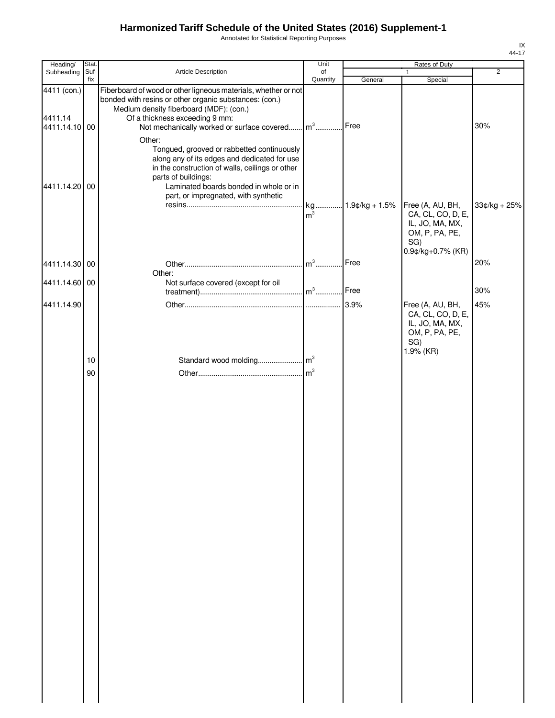Annotated for Statistical Reporting Purposes

| Heading/                                | Stat.       |                                                                                                                                                                                                                                                                  | Unit           |                   | Rates of Duty                                                                                  |                |
|-----------------------------------------|-------------|------------------------------------------------------------------------------------------------------------------------------------------------------------------------------------------------------------------------------------------------------------------|----------------|-------------------|------------------------------------------------------------------------------------------------|----------------|
| Subheading                              | Suf-<br>fix | Article Description                                                                                                                                                                                                                                              | of<br>Quantity | General           | $\mathbf{1}$<br>Special                                                                        | $\overline{2}$ |
| 4411 (con.)<br>4411.14<br>4411.14.10 00 |             | Fiberboard of wood or other ligneous materials, whether or not<br>bonded with resins or other organic substances: (con.)<br>Medium density fiberboard (MDF): (con.)<br>Of a thickness exceeding 9 mm:<br>Not mechanically worked or surface covered              | $m^3$          | Free              |                                                                                                | 30%            |
| 4411.14.20 00                           |             | Other:<br>Tongued, grooved or rabbetted continuously<br>along any of its edges and dedicated for use<br>in the construction of walls, ceilings or other<br>parts of buildings:<br>Laminated boards bonded in whole or in<br>part, or impregnated, with synthetic |                | kg 1.9¢/kg + 1.5% | Free (A, AU, BH,                                                                               | $33¢/kg + 25%$ |
|                                         |             |                                                                                                                                                                                                                                                                  | m <sup>3</sup> |                   | CA, CL, CO, D, E,<br>IL, JO, MA, MX,<br>OM, P, PA, PE,<br>SG)<br>0.9¢/kg+0.7% (KR)             | 20%            |
| 4411.14.30 00                           |             | Other:                                                                                                                                                                                                                                                           | $m3$           | Free              |                                                                                                |                |
| 4411.14.60 00                           |             | Not surface covered (except for oil                                                                                                                                                                                                                              |                | Free              |                                                                                                | 30%            |
| 4411.14.90                              |             |                                                                                                                                                                                                                                                                  |                | 3.9%              | Free (A, AU, BH,<br>CA, CL, CO, D, E,<br>IL, JO, MA, MX,<br>OM, P, PA, PE,<br>SG)<br>1.9% (KR) | 45%            |
|                                         | 10          |                                                                                                                                                                                                                                                                  |                |                   |                                                                                                |                |
|                                         |             |                                                                                                                                                                                                                                                                  |                |                   |                                                                                                |                |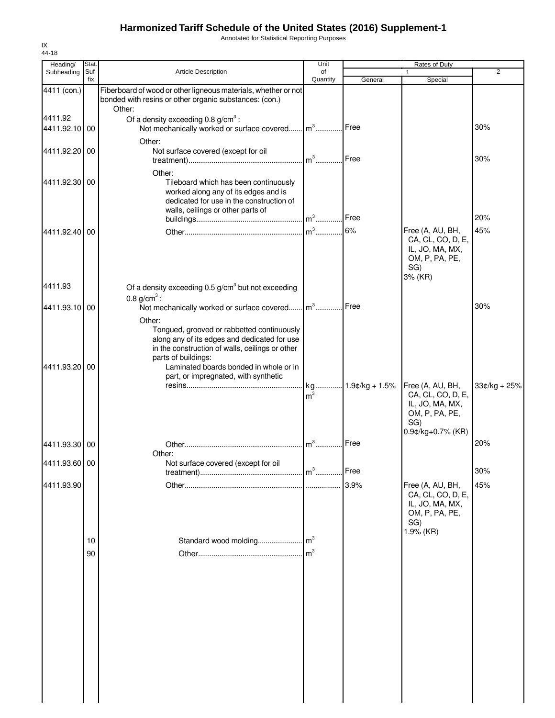Annotated for Statistical Reporting Purposes

| 44-18                    |                     |                                                                                                                                                                                                                |                |         |                                                                                                        |                |
|--------------------------|---------------------|----------------------------------------------------------------------------------------------------------------------------------------------------------------------------------------------------------------|----------------|---------|--------------------------------------------------------------------------------------------------------|----------------|
| Heading/<br>Subheading   | <b>Stat</b><br>Suf- | <b>Article Description</b>                                                                                                                                                                                     | Unit<br>of     |         | Rates of Duty                                                                                          | $\overline{2}$ |
|                          | fix                 |                                                                                                                                                                                                                | Quantity       | General | Special                                                                                                |                |
| 4411 (con.)              |                     | Fiberboard of wood or other ligneous materials, whether or not<br>bonded with resins or other organic substances: (con.)<br>Other:                                                                             |                |         |                                                                                                        |                |
| 4411.92<br>4411.92.10 00 |                     | Of a density exceeding $0.8$ g/cm <sup>3</sup> :<br>Not mechanically worked or surface covered                                                                                                                 | $m3$ .         | Free    |                                                                                                        | 30%            |
| 4411.92.20               | 00                  | Other:<br>Not surface covered (except for oil                                                                                                                                                                  | $m3$           | Free    |                                                                                                        | 30%            |
| 4411.92.30               | 00                  | Other:<br>Tileboard which has been continuously<br>worked along any of its edges and is<br>dedicated for use in the construction of<br>walls, ceilings or other parts of                                       | $m^3$          | Free    |                                                                                                        | 20%            |
|                          |                     |                                                                                                                                                                                                                | $m3$           | 6%      |                                                                                                        | 45%            |
| 4411.92.40               | 00                  |                                                                                                                                                                                                                |                |         | Free (A, AU, BH,<br>CA, CL, CO, D, E,<br>IL, JO, MA, MX,<br>OM, P, PA, PE,<br>SG)<br>3% (KR)           |                |
| 4411.93                  |                     | Of a density exceeding $0.5$ g/cm <sup>3</sup> but not exceeding<br>0.8 $g/cm^{3}$ :                                                                                                                           |                |         |                                                                                                        |                |
| 4411.93.10 00            |                     | Not mechanically worked or surface covered<br>Other:                                                                                                                                                           | $m3$ .         | Free    |                                                                                                        | 30%            |
| 4411.93.20               | 00                  | Tongued, grooved or rabbetted continuously<br>along any of its edges and dedicated for use<br>in the construction of walls, ceilings or other<br>parts of buildings:<br>Laminated boards bonded in whole or in |                |         |                                                                                                        |                |
|                          |                     | part, or impregnated, with synthetic                                                                                                                                                                           | m <sup>3</sup> |         | Free (A, AU, BH,<br>CA, CL, CO, D, E,<br>IL, JO, MA, MX,<br>OM, P, PA, PE,<br>SG)<br>0.9¢/kg+0.7% (KR) | $33¢/kg + 25%$ |
| 4411.93.30               | 00                  |                                                                                                                                                                                                                | $m3$ .         | Free    |                                                                                                        | 20%            |
|                          |                     | Other:                                                                                                                                                                                                         |                |         |                                                                                                        |                |
| 4411.93.60 00            |                     | Not surface covered (except for oil                                                                                                                                                                            | $m3$           | Free    |                                                                                                        | 30%            |
| 4411.93.90               |                     |                                                                                                                                                                                                                |                | 3.9%    | Free (A, AU, BH,                                                                                       | 45%            |
|                          |                     |                                                                                                                                                                                                                |                |         | CA, CL, CO, D, E,<br>IL, JO, MA, MX,<br>OM, P, PA, PE,<br>SG)<br>1.9% (KR)                             |                |
|                          | 10                  |                                                                                                                                                                                                                |                |         |                                                                                                        |                |
|                          | 90                  |                                                                                                                                                                                                                | m <sup>3</sup> |         |                                                                                                        |                |
|                          |                     |                                                                                                                                                                                                                |                |         |                                                                                                        |                |
|                          |                     |                                                                                                                                                                                                                |                |         |                                                                                                        |                |
|                          |                     |                                                                                                                                                                                                                |                |         |                                                                                                        |                |

IX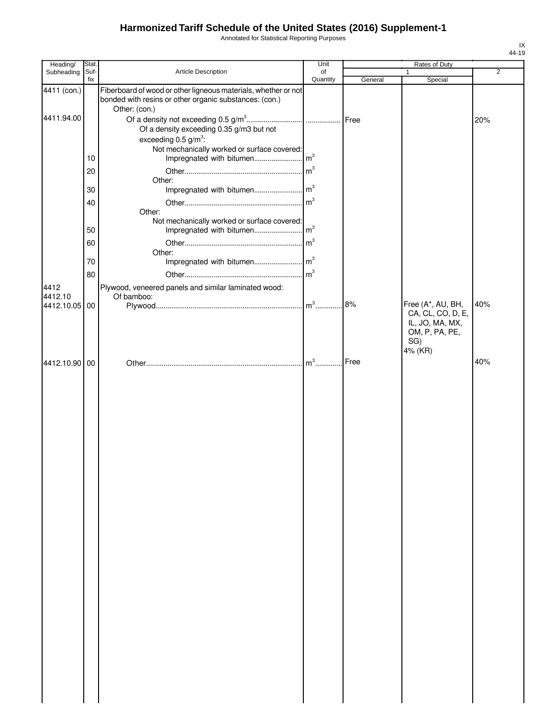Annotated for Statistical Reporting Purposes

| Heading/        | Stat.       |                                                                                                                                           | Unit            |         | Rates of Duty                                                            |                |
|-----------------|-------------|-------------------------------------------------------------------------------------------------------------------------------------------|-----------------|---------|--------------------------------------------------------------------------|----------------|
| Subheading      | Suf-<br>fix | Article Description                                                                                                                       | of<br>Quantity  | General | Special                                                                  | $\overline{2}$ |
| 4411 (con.)     |             | Fiberboard of wood or other ligneous materials, whether or not<br>bonded with resins or other organic substances: (con.)<br>Other: (con.) |                 |         |                                                                          |                |
| 4411.94.00      |             | Of a density exceeding 0.35 g/m3 but not                                                                                                  |                 |         |                                                                          | 20%            |
|                 |             | exceeding $0.5$ g/m <sup>3</sup> :                                                                                                        |                 |         |                                                                          |                |
|                 | 10          | Not mechanically worked or surface covered:                                                                                               |                 |         |                                                                          |                |
|                 | 20          |                                                                                                                                           |                 |         |                                                                          |                |
|                 |             | Other:                                                                                                                                    |                 |         |                                                                          |                |
|                 | 30          |                                                                                                                                           |                 |         |                                                                          |                |
|                 | 40          | Other:                                                                                                                                    |                 |         |                                                                          |                |
|                 | 50          | Not mechanically worked or surface covered:                                                                                               |                 |         |                                                                          |                |
|                 | 60          |                                                                                                                                           | $\mathsf{Im}^3$ |         |                                                                          |                |
|                 | 70          | Other:                                                                                                                                    |                 |         |                                                                          |                |
|                 |             |                                                                                                                                           | m <sup>3</sup>  |         |                                                                          |                |
| 4412<br>4412.10 | 80          | Plywood, veneered panels and similar laminated wood:<br>Of bamboo:                                                                        |                 |         |                                                                          |                |
| 4412.10.05 00   |             |                                                                                                                                           | $\mathbf{m}^3$  | 8%      | Free (A*, AU, BH,                                                        | 40%            |
|                 |             |                                                                                                                                           |                 |         | CA, CL, CO, D, E,<br>IL, JO, MA, MX,<br>OM, P, PA, PE,<br>SG)<br>4% (KR) |                |
| 4412.10.90 00   |             |                                                                                                                                           |                 | Free    |                                                                          | 40%            |
|                 |             |                                                                                                                                           |                 |         |                                                                          |                |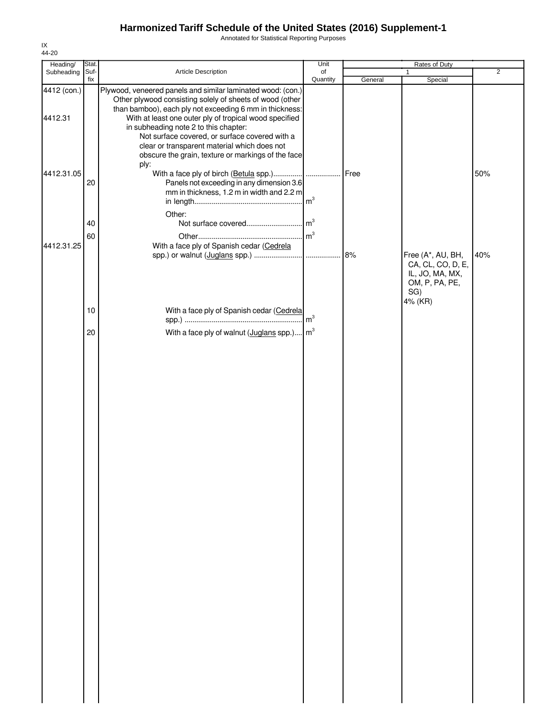Annotated for Statistical Reporting Purposes

| Heading/    | Stat.    |                                                                                                                                                                                                                                                                                                                            | Unit           |         | Rates of Duty                                                            |                |
|-------------|----------|----------------------------------------------------------------------------------------------------------------------------------------------------------------------------------------------------------------------------------------------------------------------------------------------------------------------------|----------------|---------|--------------------------------------------------------------------------|----------------|
| Subheading  | Suf-     | Article Description                                                                                                                                                                                                                                                                                                        | of             |         | $\mathbf{1}$                                                             | $\overline{2}$ |
| 4412 (con.) | fix      | Plywood, veneered panels and similar laminated wood: (con.)<br>Other plywood consisting solely of sheets of wood (other                                                                                                                                                                                                    | Quantity       | General | Special                                                                  |                |
| 4412.31     |          | than bamboo), each ply not exceeding 6 mm in thickness:<br>With at least one outer ply of tropical wood specified<br>in subheading note 2 to this chapter:<br>Not surface covered, or surface covered with a<br>clear or transparent material which does not<br>obscure the grain, texture or markings of the face<br>ply: |                |         |                                                                          |                |
| 4412.31.05  | 20       | Panels not exceeding in any dimension 3.6<br>mm in thickness, 1.2 m in width and 2.2 m<br>Other:                                                                                                                                                                                                                           | m <sup>3</sup> | Free    |                                                                          | 50%            |
| 4412.31.25  | 40<br>60 | With a face ply of Spanish cedar (Cedrela                                                                                                                                                                                                                                                                                  |                | 8%      | Free (A*, AU, BH,                                                        | 40%            |
|             |          |                                                                                                                                                                                                                                                                                                                            |                |         | CA, CL, CO, D, E,<br>IL, JO, MA, MX,<br>OM, P, PA, PE,<br>SG)<br>4% (KR) |                |
|             | 10       | With a face ply of Spanish cedar (Cedrela                                                                                                                                                                                                                                                                                  |                |         |                                                                          |                |
|             | 20       | With a face ply of walnut $($ <u>Juglans</u> spp. $)$ m <sup>3</sup>                                                                                                                                                                                                                                                       |                |         |                                                                          |                |
|             |          |                                                                                                                                                                                                                                                                                                                            |                |         |                                                                          |                |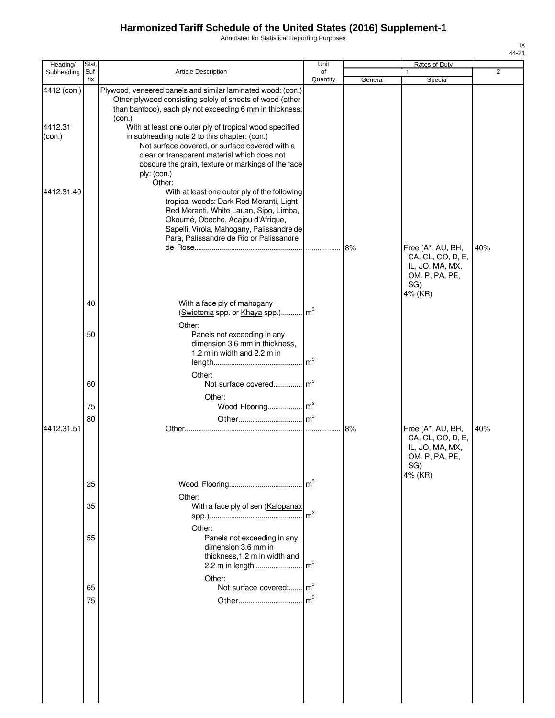Annotated for Statistical Reporting Purposes

| Heading/                         | Stat.       |                                                                                                                                                                                                                                                                                                                                                                                                                                                                               | Unit           |         | Rates of Duty                                                                      |     |
|----------------------------------|-------------|-------------------------------------------------------------------------------------------------------------------------------------------------------------------------------------------------------------------------------------------------------------------------------------------------------------------------------------------------------------------------------------------------------------------------------------------------------------------------------|----------------|---------|------------------------------------------------------------------------------------|-----|
| Subheading                       | Suf-<br>fix | Article Description                                                                                                                                                                                                                                                                                                                                                                                                                                                           | of<br>Quantity | General | 1<br>Special                                                                       | 2   |
| 4412 (con.)<br>4412.31<br>(con.) |             | Plywood, veneered panels and similar laminated wood: (con.)<br>Other plywood consisting solely of sheets of wood (other<br>than bamboo), each ply not exceeding 6 mm in thickness:<br>(con.)<br>With at least one outer ply of tropical wood specified<br>in subheading note 2 to this chapter: (con.)<br>Not surface covered, or surface covered with a<br>clear or transparent material which does not<br>obscure the grain, texture or markings of the face<br>ply: (con.) |                |         |                                                                                    |     |
| 4412.31.40                       |             | Other:<br>With at least one outer ply of the following<br>tropical woods: Dark Red Meranti, Light<br>Red Meranti, White Lauan, Sipo, Limba,<br>Okoumé, Obeche, Acajou d'Afrique,<br>Sapelli, Virola, Mahogany, Palissandre de<br>Para, Palissandre de Rio or Palissandre                                                                                                                                                                                                      | .              | 8%      | Free (A*, AU, BH,<br>CA, CL, CO, D, E,<br>IL, JO, MA, MX,                          | 40% |
|                                  | 40          | With a face ply of mahogany<br>(Swietenia spp. or Khaya spp.) m <sup>3</sup>                                                                                                                                                                                                                                                                                                                                                                                                  |                |         | OM, P, PA, PE,<br>SG)<br>4% (KR)                                                   |     |
|                                  | 50          | Other:<br>Panels not exceeding in any<br>dimension 3.6 mm in thickness,<br>1.2 m in width and 2.2 m in                                                                                                                                                                                                                                                                                                                                                                        | m <sup>3</sup> |         |                                                                                    |     |
|                                  | 60          | Other:<br>Not surface covered<br>Other:                                                                                                                                                                                                                                                                                                                                                                                                                                       | m <sup>3</sup> |         |                                                                                    |     |
|                                  | 75          | Wood Flooring m <sup>3</sup>                                                                                                                                                                                                                                                                                                                                                                                                                                                  |                |         |                                                                                    |     |
| 4412.31.51                       | 80          |                                                                                                                                                                                                                                                                                                                                                                                                                                                                               |                | 8%      | Free (A*, AU, BH,<br>CA, CL, CO, D, E,<br>IL, JO, MA, MX,<br>OM, P, PA, PE,<br>SG) | 40% |
|                                  | 25          |                                                                                                                                                                                                                                                                                                                                                                                                                                                                               | m <sup>3</sup> |         | 4% (KR)                                                                            |     |
|                                  | 35          | Other:<br>With a face ply of sen (Kalopanax                                                                                                                                                                                                                                                                                                                                                                                                                                   | m <sup>3</sup> |         |                                                                                    |     |
|                                  | 55          | Other:<br>Panels not exceeding in any<br>dimension 3.6 mm in<br>thickness, 1.2 m in width and<br>2.2 m in length                                                                                                                                                                                                                                                                                                                                                              | m <sup>3</sup> |         |                                                                                    |     |
|                                  | 65          | Other:<br>Not surface covered: m <sup>3</sup>                                                                                                                                                                                                                                                                                                                                                                                                                                 |                |         |                                                                                    |     |
|                                  | 75          |                                                                                                                                                                                                                                                                                                                                                                                                                                                                               |                |         |                                                                                    |     |
|                                  |             |                                                                                                                                                                                                                                                                                                                                                                                                                                                                               |                |         |                                                                                    |     |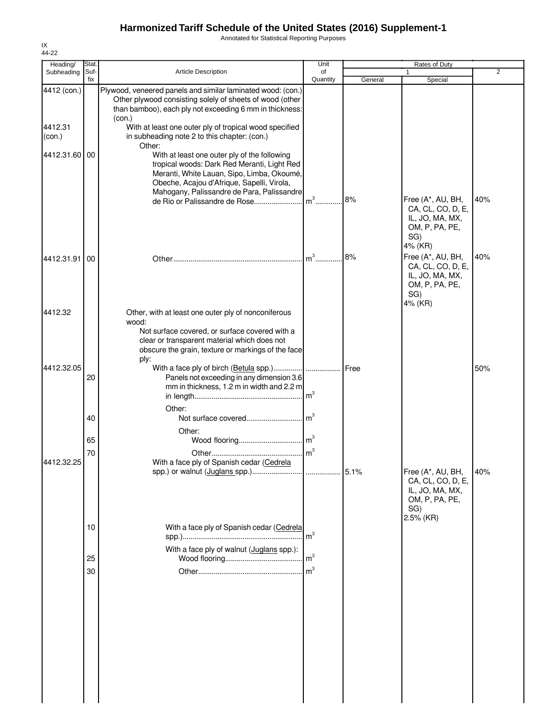Annotated for Statistical Reporting Purposes

| Heading/          | Stat.       |                                                                                                                                                                                                                                       | Unit            |         | Rates of Duty                                                                                   |                |
|-------------------|-------------|---------------------------------------------------------------------------------------------------------------------------------------------------------------------------------------------------------------------------------------|-----------------|---------|-------------------------------------------------------------------------------------------------|----------------|
| Subheading        | Suf-<br>fix | <b>Article Description</b>                                                                                                                                                                                                            | of<br>Quantity  | General | 1<br>Special                                                                                    | $\overline{2}$ |
| 4412 (con.)       |             | Plywood, veneered panels and similar laminated wood: (con.)<br>Other plywood consisting solely of sheets of wood (other<br>than bamboo), each ply not exceeding 6 mm in thickness:<br>(con.)                                          |                 |         |                                                                                                 |                |
| 4412.31<br>(con.) |             | With at least one outer ply of tropical wood specified<br>in subheading note 2 to this chapter: (con.)<br>Other:                                                                                                                      |                 |         |                                                                                                 |                |
| 4412.31.60 00     |             | With at least one outer ply of the following<br>tropical woods: Dark Red Meranti, Light Red<br>Meranti, White Lauan, Sipo, Limba, Okoumé,<br>Obeche, Acajou d'Afrique, Sapelli, Virola,<br>Mahogany, Palissandre de Para, Palissandre |                 |         |                                                                                                 |                |
|                   |             |                                                                                                                                                                                                                                       |                 | 8%      | Free (A*, AU, BH,<br>CA, CL, CO, D, E,<br>IL, JO, MA, MX,<br>OM, P, PA, PE,<br>SG)<br>4% (KR)   | 40%            |
| 4412.31.91        | 00          |                                                                                                                                                                                                                                       |                 | 8%      | Free (A*, AU, BH,<br>CA, CL, CO, D, E,<br>IL, JO, MA, MX,<br>OM, P, PA, PE,<br>SG)<br>4% (KR)   | 40%            |
| 4412.32           |             | Other, with at least one outer ply of nonconiferous<br>wood:<br>Not surface covered, or surface covered with a<br>clear or transparent material which does not<br>obscure the grain, texture or markings of the face<br>ply:          |                 |         |                                                                                                 |                |
| 4412.32.05        | 20          | With a face ply of birch (Betula spp.)<br>Panels not exceeding in any dimension 3.6<br>mm in thickness, 1.2 m in width and 2.2 m<br>Other:                                                                                            | $\mathsf{Im}^3$ | Free    |                                                                                                 | 50%            |
|                   | 40          | Other:                                                                                                                                                                                                                                |                 |         |                                                                                                 |                |
|                   | 65          |                                                                                                                                                                                                                                       |                 |         |                                                                                                 |                |
| 4412.32.25        | 70          | With a face ply of Spanish cedar (Cedrela                                                                                                                                                                                             |                 |         |                                                                                                 |                |
|                   |             |                                                                                                                                                                                                                                       |                 | 5.1%    | Free (A*, AU, BH,<br>CA, CL, CO, D, E,<br>IL, JO, MA, MX,<br>OM, P, PA, PE,<br>SG)<br>2.5% (KR) | 40%            |
|                   | 10          | With a face ply of Spanish cedar (Cedrela                                                                                                                                                                                             | m <sup>3</sup>  |         |                                                                                                 |                |
|                   | 25          | With a face ply of walnut (Juglans spp.):                                                                                                                                                                                             | $\mathsf{m}^3$  |         |                                                                                                 |                |
|                   | 30          |                                                                                                                                                                                                                                       |                 |         |                                                                                                 |                |
|                   |             |                                                                                                                                                                                                                                       |                 |         |                                                                                                 |                |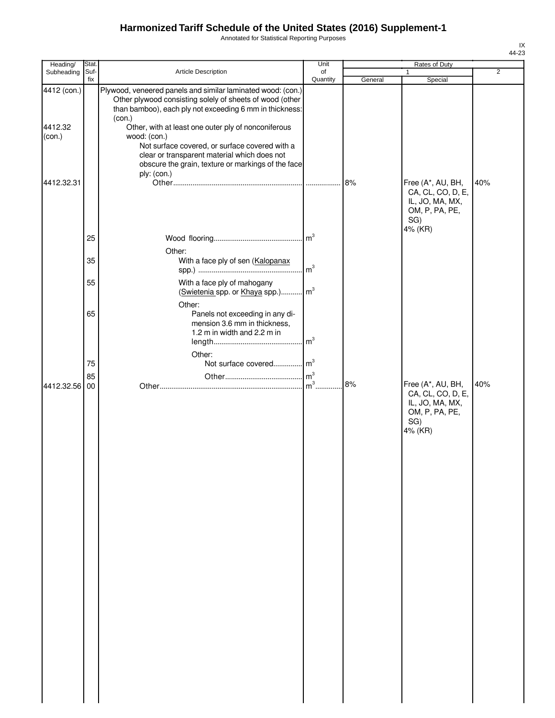Annotated for Statistical Reporting Purposes

| Heading/                         | Stat.       |                                                                                                                                                                                                                                                                                                                                                                                                                             | Unit              |         | Rates of Duty                                                                      |                |
|----------------------------------|-------------|-----------------------------------------------------------------------------------------------------------------------------------------------------------------------------------------------------------------------------------------------------------------------------------------------------------------------------------------------------------------------------------------------------------------------------|-------------------|---------|------------------------------------------------------------------------------------|----------------|
| Subheading                       | Suf-<br>fix | <b>Article Description</b>                                                                                                                                                                                                                                                                                                                                                                                                  | of<br>Quantity    | General | 1<br>Special                                                                       | $\overline{2}$ |
| 4412 (con.)<br>4412.32<br>(con.) |             | Plywood, veneered panels and similar laminated wood: (con.)<br>Other plywood consisting solely of sheets of wood (other<br>than bamboo), each ply not exceeding 6 mm in thickness:<br>(con.)<br>Other, with at least one outer ply of nonconiferous<br>wood: (con.)<br>Not surface covered, or surface covered with a<br>clear or transparent material which does not<br>obscure the grain, texture or markings of the face |                   |         |                                                                                    |                |
| 4412.32.31                       |             | ply: (con.)                                                                                                                                                                                                                                                                                                                                                                                                                 |                   | 8%      | Free (A*, AU, BH,<br>CA, CL, CO, D, E,<br>IL, JO, MA, MX,<br>OM, P, PA, PE,<br>SG) | 40%            |
|                                  | 25          |                                                                                                                                                                                                                                                                                                                                                                                                                             |                   |         | 4% (KR)                                                                            |                |
|                                  | 35          | Other:<br>With a face ply of sen (Kalopanax                                                                                                                                                                                                                                                                                                                                                                                 | m <sup>3</sup>    |         |                                                                                    |                |
|                                  | 55          | With a face ply of mahogany<br>(Swietenia spp. or Khaya spp.) m <sup>3</sup>                                                                                                                                                                                                                                                                                                                                                |                   |         |                                                                                    |                |
|                                  | 65          | Other:<br>Panels not exceeding in any di-<br>mension 3.6 mm in thickness,<br>1.2 m in width and 2.2 m in                                                                                                                                                                                                                                                                                                                    | $\mathsf{Im}^3$   |         |                                                                                    |                |
|                                  | 75          | Other:<br>Not surface covered m <sup>3</sup>                                                                                                                                                                                                                                                                                                                                                                                |                   |         |                                                                                    |                |
| 4412.32.56 00                    | 85          |                                                                                                                                                                                                                                                                                                                                                                                                                             | $\mathsf{Im}^3$ . | 8%      | Free (A*, AU, BH,                                                                  | 40%            |
|                                  |             |                                                                                                                                                                                                                                                                                                                                                                                                                             |                   |         | CA, CL, CO, D, E,<br>IL, JO, MA, MX,<br>OM, P, PA, PE,<br>SG)<br>4% (KR)           |                |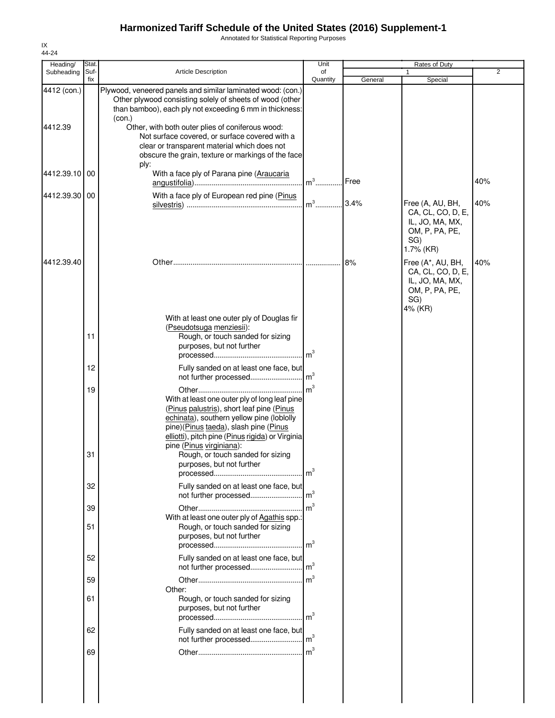Annotated for Statistical Reporting Purposes

| Heading/               | Stat.       |                                                                                                                                                                                                                                                                                                                                                                                                          | Unit                              |         | Rates of Duty                                                                                              |                |
|------------------------|-------------|----------------------------------------------------------------------------------------------------------------------------------------------------------------------------------------------------------------------------------------------------------------------------------------------------------------------------------------------------------------------------------------------------------|-----------------------------------|---------|------------------------------------------------------------------------------------------------------------|----------------|
| Subheading             | Suf-<br>fix | <b>Article Description</b>                                                                                                                                                                                                                                                                                                                                                                               | of<br>Quantity                    | General | Special                                                                                                    | $\overline{2}$ |
| 4412 (con.)<br>4412.39 |             | Plywood, veneered panels and similar laminated wood: (con.)<br>Other plywood consisting solely of sheets of wood (other<br>than bamboo), each ply not exceeding 6 mm in thickness:<br>(con.)<br>Other, with both outer plies of coniferous wood:<br>Not surface covered, or surface covered with a<br>clear or transparent material which does not<br>obscure the grain, texture or markings of the face |                                   |         |                                                                                                            |                |
| 4412.39.10 00          |             | ply:<br>With a face ply of Parana pine (Araucaria                                                                                                                                                                                                                                                                                                                                                        | $m3$                              | Free    |                                                                                                            | 40%            |
| 4412.39.30 00          |             | With a face ply of European red pine (Pinus                                                                                                                                                                                                                                                                                                                                                              |                                   |         | Free (A, AU, BH,<br>CA, CL, CO, D, E,<br>IL, JO, MA, MX,<br>OM, P, PA, PE,<br>SG)                          | 40%            |
| 4412.39.40             |             |                                                                                                                                                                                                                                                                                                                                                                                                          |                                   | 8%      | 1.7% (KR)<br>Free (A*, AU, BH,<br>CA, CL, CO, D, E,<br>IL, JO, MA, MX,<br>OM, P, PA, PE,<br>SG)<br>4% (KR) | 40%            |
|                        | 11          | With at least one outer ply of Douglas fir<br>(Pseudotsuga menziesii):<br>Rough, or touch sanded for sizing<br>purposes, but not further                                                                                                                                                                                                                                                                 |                                   |         |                                                                                                            |                |
|                        | 12          | Fully sanded on at least one face, but<br>not further processed                                                                                                                                                                                                                                                                                                                                          | m <sup>3</sup>                    |         |                                                                                                            |                |
|                        | 19<br>31    | With at least one outer ply of long leaf pine<br>(Pinus palustris), short leaf pine (Pinus<br>echinata), southern yellow pine (loblolly<br>pine)(Pinus taeda), slash pine (Pinus<br>elliotti), pitch pine (Pinus rigida) or Virginia<br>pine (Pinus virginiana):<br>Rough, or touch sanded for sizing<br>purposes, but not further                                                                       | $\mathsf{Im}^3$<br>m <sup>3</sup> |         |                                                                                                            |                |
|                        | 32          | Fully sanded on at least one face, but                                                                                                                                                                                                                                                                                                                                                                   |                                   |         |                                                                                                            |                |
|                        | 39          | not further processed                                                                                                                                                                                                                                                                                                                                                                                    | m <sup>3</sup><br>$\mathsf{Im}^3$ |         |                                                                                                            |                |
|                        | 51          | With at least one outer ply of Agathis spp.:<br>Rough, or touch sanded for sizing<br>purposes, but not further                                                                                                                                                                                                                                                                                           |                                   |         |                                                                                                            |                |
|                        | 52          | Fully sanded on at least one face, but                                                                                                                                                                                                                                                                                                                                                                   |                                   |         |                                                                                                            |                |
|                        | 59          | Other:                                                                                                                                                                                                                                                                                                                                                                                                   | $\mathsf{Im}^3$                   |         |                                                                                                            |                |
|                        | 61          | Rough, or touch sanded for sizing<br>purposes, but not further                                                                                                                                                                                                                                                                                                                                           | m <sup>3</sup>                    |         |                                                                                                            |                |
|                        | 62          | Fully sanded on at least one face, but<br>not further processed                                                                                                                                                                                                                                                                                                                                          | m <sup>3</sup>                    |         |                                                                                                            |                |
|                        | 69          |                                                                                                                                                                                                                                                                                                                                                                                                          | m <sup>3</sup>                    |         |                                                                                                            |                |
|                        |             |                                                                                                                                                                                                                                                                                                                                                                                                          |                                   |         |                                                                                                            |                |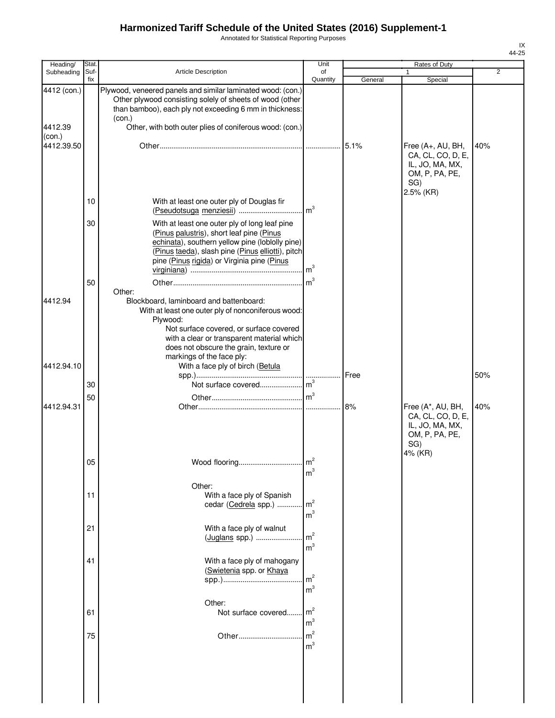Annotated for Statistical Reporting Purposes

| Heading/               | <b>Stat</b> |                                                                                                                                                                                                                                                                                     | Unit                             |         | Rates of Duty                                                                                   |                |
|------------------------|-------------|-------------------------------------------------------------------------------------------------------------------------------------------------------------------------------------------------------------------------------------------------------------------------------------|----------------------------------|---------|-------------------------------------------------------------------------------------------------|----------------|
| Subheading             | Suf-<br>fix | <b>Article Description</b>                                                                                                                                                                                                                                                          | of<br>Quantity                   | General | 1<br>Special                                                                                    | $\overline{2}$ |
| 4412 (con.)<br>4412.39 |             | Plywood, veneered panels and similar laminated wood: (con.)<br>Other plywood consisting solely of sheets of wood (other<br>than bamboo), each ply not exceeding 6 mm in thickness:<br>(con.)<br>Other, with both outer plies of coniferous wood: (con.)                             |                                  |         |                                                                                                 |                |
| (con.)<br>4412.39.50   |             |                                                                                                                                                                                                                                                                                     |                                  | 5.1%    | Free (A+, AU, BH,<br>CA, CL, CO, D, E,<br>IL, JO, MA, MX,<br>OM, P, PA, PE,<br>SG)<br>2.5% (KR) | 40%            |
|                        | 10          | With at least one outer ply of Douglas fir                                                                                                                                                                                                                                          | m <sup>3</sup>                   |         |                                                                                                 |                |
|                        | 30          | With at least one outer ply of long leaf pine<br>(Pinus palustris), short leaf pine (Pinus<br>echinata), southern yellow pine (loblolly pine)<br>(Pinus taeda), slash pine (Pinus elliotti), pitch<br>pine (Pinus rigida) or Virginia pine (Pinus                                   | m <sup>3</sup>                   |         |                                                                                                 |                |
| 4412.94                | 50          | Other:<br>Blockboard, laminboard and battenboard:<br>With at least one outer ply of nonconiferous wood:<br>Plywood:<br>Not surface covered, or surface covered<br>with a clear or transparent material which<br>does not obscure the grain, texture or<br>markings of the face ply: |                                  |         |                                                                                                 |                |
| 4412.94.10             |             | With a face ply of birch (Betula                                                                                                                                                                                                                                                    |                                  | Free    |                                                                                                 | 50%            |
|                        | 30          |                                                                                                                                                                                                                                                                                     |                                  |         |                                                                                                 |                |
| 4412.94.31             | 50          |                                                                                                                                                                                                                                                                                     |                                  | 8%      | Free (A*, AU, BH,<br>CA, CL, CO, D, E,<br>IL, JO, MA, MX,<br>OM, P, PA, PE,<br>SG)              | 40%            |
|                        | 05          | Wood flooring                                                                                                                                                                                                                                                                       | $\rm m^2$<br>m <sup>3</sup>      |         | 4% (KR)                                                                                         |                |
|                        | 11          | Other:<br>With a face ply of Spanish<br>cedar (Cedrela spp.)                                                                                                                                                                                                                        | m <sup>2</sup><br>m <sup>3</sup> |         |                                                                                                 |                |
|                        | 21          | With a face ply of walnut<br>(Juglans spp.)                                                                                                                                                                                                                                         | m <sup>2</sup><br>m <sup>3</sup> |         |                                                                                                 |                |
|                        | 41          | With a face ply of mahogany<br>(Swietenia spp. or Khaya                                                                                                                                                                                                                             | m <sup>2</sup><br>m <sup>3</sup> |         |                                                                                                 |                |
|                        | 61          | Other:<br>Not surface covered                                                                                                                                                                                                                                                       | m <sup>2</sup><br>m <sup>3</sup> |         |                                                                                                 |                |
|                        | 75          | Other                                                                                                                                                                                                                                                                               | m <sup>2</sup><br>m <sup>3</sup> |         |                                                                                                 |                |
|                        |             |                                                                                                                                                                                                                                                                                     |                                  |         |                                                                                                 |                |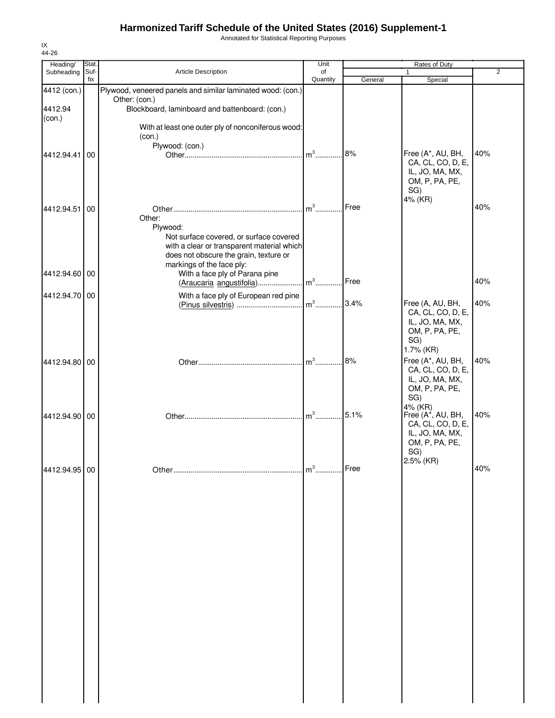Annotated for Statistical Reporting Purposes

| Heading/          | Stat.       |                                                                                                                                                                                                            | Unit           |         | Rates of Duty                                                                                     |                |
|-------------------|-------------|------------------------------------------------------------------------------------------------------------------------------------------------------------------------------------------------------------|----------------|---------|---------------------------------------------------------------------------------------------------|----------------|
| Subheading        | Suf-<br>fix | <b>Article Description</b>                                                                                                                                                                                 | of<br>Quantity | General | $\mathbf{1}$<br>Special                                                                           | $\overline{2}$ |
| 4412 (con.)       |             | Plywood, veneered panels and similar laminated wood: (con.)                                                                                                                                                |                |         |                                                                                                   |                |
| 4412.94<br>(con.) |             | Other: (con.)<br>Blockboard, laminboard and battenboard: (con.)                                                                                                                                            |                |         |                                                                                                   |                |
|                   |             | With at least one outer ply of nonconiferous wood:<br>(con.)                                                                                                                                               |                |         |                                                                                                   |                |
| 4412.94.41        | I 00        | Plywood: (con.)                                                                                                                                                                                            | $m^3$          | 8%      | Free (A*, AU, BH,<br>CA, CL, CO, D, E,<br>IL, JO, MA, MX,<br>OM, P, PA, PE,<br>SG)                | 40%            |
| 4412.94.51 00     |             | Other:                                                                                                                                                                                                     | $m^3$          | Free    | 4% (KR)                                                                                           | 40%            |
| 4412.94.60 00     |             | Plywood:<br>Not surface covered, or surface covered<br>with a clear or transparent material which<br>does not obscure the grain, texture or<br>markings of the face ply:<br>With a face ply of Parana pine |                |         |                                                                                                   |                |
|                   |             | (Araucaria angustifolia) m <sup>3</sup>                                                                                                                                                                    |                | Free    |                                                                                                   | 40%            |
| 4412.94.70 00     |             | With a face ply of European red pine                                                                                                                                                                       | $m3$           | 3.4%    | Free (A, AU, BH,<br>CA, CL, CO, D, E,<br>IL, JO, MA, MX,<br>OM, P, PA, PE,<br>SG)<br>1.7% (KR)    | 40%            |
| 4412.94.80 00     |             |                                                                                                                                                                                                            | $m3$           | 8%      | Free (A*, AU, BH,<br>CA, CL, CO, D, E,<br>IL, JO, MA, MX,<br>OM, P, PA, PE,<br>SG)                | 40%            |
| 4412.94.90 00     |             |                                                                                                                                                                                                            | $m3$           | 5.1%    | 4% (KR)<br>Free $(A^*$ , AU, BH,<br>CA, CL, CO, D, E,<br>IL, JO, MA, MX,<br>OM, P, PA, PE,<br>SG) | 40%            |
| 4412.94.95 00     |             |                                                                                                                                                                                                            | $m3$           | Free    | 2.5% (KR)                                                                                         | 40%            |
|                   |             |                                                                                                                                                                                                            |                |         |                                                                                                   |                |
|                   |             |                                                                                                                                                                                                            |                |         |                                                                                                   |                |
|                   |             |                                                                                                                                                                                                            |                |         |                                                                                                   |                |
|                   |             |                                                                                                                                                                                                            |                |         |                                                                                                   |                |
|                   |             |                                                                                                                                                                                                            |                |         |                                                                                                   |                |
|                   |             |                                                                                                                                                                                                            |                |         |                                                                                                   |                |
|                   |             |                                                                                                                                                                                                            |                |         |                                                                                                   |                |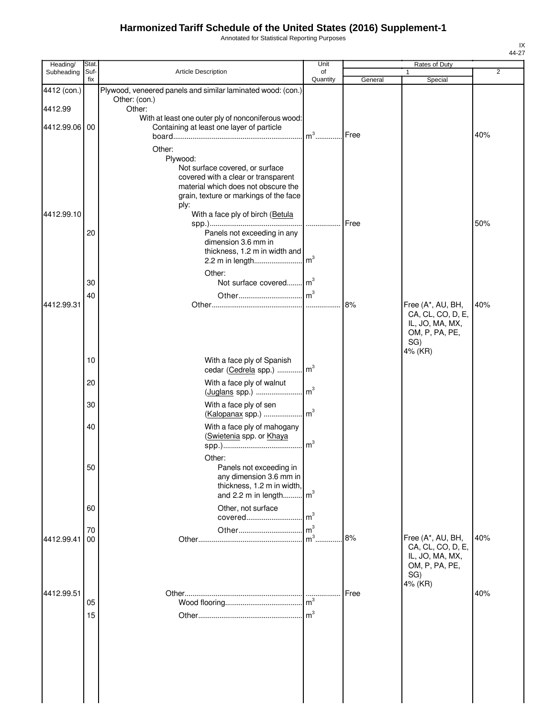Annotated for Statistical Reporting Purposes

| Heading/    | Stat.       |                                                                            | Unit           |         | Rates of Duty                        |                |
|-------------|-------------|----------------------------------------------------------------------------|----------------|---------|--------------------------------------|----------------|
| Subheading  | Suf-<br>fix | Article Description                                                        | of<br>Quantity | General | $\mathbf{1}$<br>Special              | $\overline{2}$ |
| 4412 (con.) |             | Plywood, veneered panels and similar laminated wood: (con.)                |                |         |                                      |                |
| 4412.99     |             | Other: (con.)<br>Other:                                                    |                |         |                                      |                |
|             |             | With at least one outer ply of nonconiferous wood:                         |                |         |                                      |                |
| 4412.99.06  | 00          | Containing at least one layer of particle                                  | $m3$ .         | Free    |                                      | 40%            |
|             |             |                                                                            |                |         |                                      |                |
|             |             | Other:<br>Plywood:                                                         |                |         |                                      |                |
|             |             | Not surface covered, or surface                                            |                |         |                                      |                |
|             |             | covered with a clear or transparent<br>material which does not obscure the |                |         |                                      |                |
|             |             | grain, texture or markings of the face                                     |                |         |                                      |                |
| 4412.99.10  |             | ply:<br>With a face ply of birch (Betula                                   |                |         |                                      |                |
|             |             |                                                                            | .              | Free    |                                      | 50%            |
|             | 20          | Panels not exceeding in any                                                |                |         |                                      |                |
|             |             | dimension 3.6 mm in<br>thickness, 1.2 m in width and                       |                |         |                                      |                |
|             |             |                                                                            |                |         |                                      |                |
|             |             | Other:                                                                     |                |         |                                      |                |
|             | 30          | Not surface covered m <sup>3</sup>                                         |                |         |                                      |                |
| 4412.99.31  | 40          |                                                                            |                | 8%      | Free (A*, AU, BH,                    | 40%            |
|             |             |                                                                            |                |         | CA, CL, CO, D, E,                    |                |
|             |             |                                                                            |                |         | IL, JO, MA, MX,                      |                |
|             |             |                                                                            |                |         | OM, P, PA, PE,<br>SG)                |                |
|             |             |                                                                            |                |         | 4% (KR)                              |                |
|             | 10          | With a face ply of Spanish<br>cedar (Cedrela spp.)  m <sup>3</sup>         |                |         |                                      |                |
|             | 20          | With a face ply of walnut                                                  |                |         |                                      |                |
|             |             | (Juglans spp.)                                                             | m <sup>3</sup> |         |                                      |                |
|             | 30          | With a face ply of sen                                                     |                |         |                                      |                |
|             |             | (Kalopanax spp.)    m <sup>3</sup>                                         |                |         |                                      |                |
|             | 40          | With a face ply of mahogany<br>(Swietenia spp. or Khaya                    |                |         |                                      |                |
|             |             |                                                                            |                |         |                                      |                |
|             |             | Other:                                                                     |                |         |                                      |                |
|             | 50          | Panels not exceeding in<br>any dimension 3.6 mm in                         |                |         |                                      |                |
|             |             | thickness, 1.2 m in width,                                                 |                |         |                                      |                |
|             |             | and 2.2 m in length                                                        | m <sup>3</sup> |         |                                      |                |
|             | 60          | Other, not surface<br>covered                                              | m <sup>3</sup> |         |                                      |                |
|             | 70          | Other                                                                      | m <sup>3</sup> |         |                                      |                |
| 4412.99.41  | 00          |                                                                            | m <sup>3</sup> | 8%      | Free (A*, AU, BH,                    | 40%            |
|             |             |                                                                            |                |         | CA, CL, CO, D, E,<br>IL, JO, MA, MX, |                |
|             |             |                                                                            |                |         | OM, P, PA, PE,                       |                |
|             |             |                                                                            |                |         | SG)<br>4% (KR)                       |                |
| 4412.99.51  |             |                                                                            |                | Free    |                                      | 40%            |
|             | 05          |                                                                            | m <sup>3</sup> |         |                                      |                |
|             | 15          |                                                                            | m <sup>3</sup> |         |                                      |                |
|             |             |                                                                            |                |         |                                      |                |
|             |             |                                                                            |                |         |                                      |                |
|             |             |                                                                            |                |         |                                      |                |
|             |             |                                                                            |                |         |                                      |                |
|             |             |                                                                            |                |         |                                      |                |
|             |             |                                                                            |                |         |                                      |                |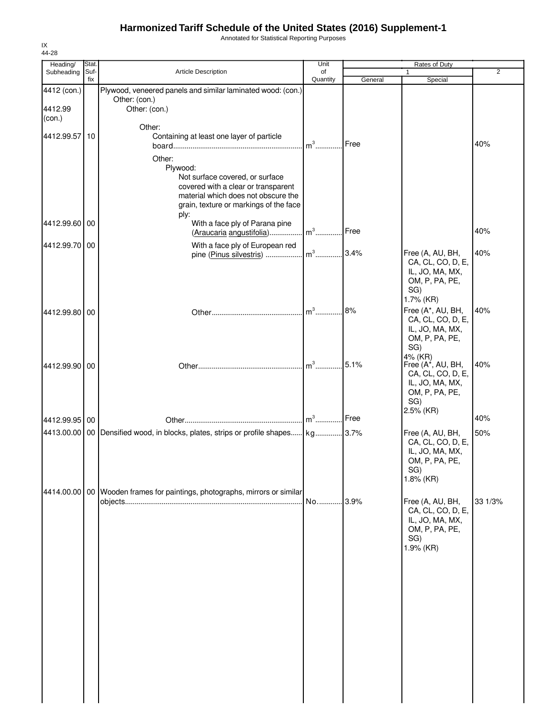Annotated for Statistical Reporting Purposes

| Heading/                         | Stat.       |                                                                                                                                                                                                               | Unit           |         | Rates of Duty                                                                                   |         |
|----------------------------------|-------------|---------------------------------------------------------------------------------------------------------------------------------------------------------------------------------------------------------------|----------------|---------|-------------------------------------------------------------------------------------------------|---------|
| Subheading                       | Suf-<br>fix | Article Description                                                                                                                                                                                           | of<br>Quantity | General | $\mathbf{1}$<br>Special                                                                         | 2       |
| 4412 (con.)<br>4412.99<br>(con.) |             | Plywood, veneered panels and similar laminated wood: (con.)<br>Other: (con.)<br>Other: (con.)                                                                                                                 |                |         |                                                                                                 |         |
| 4412.99.57 10                    |             | Other:<br>Containing at least one layer of particle<br>Other:                                                                                                                                                 | $m3$ .         | Free    |                                                                                                 | 40%     |
| 4412.99.60                       | 00          | Plywood:<br>Not surface covered, or surface<br>covered with a clear or transparent<br>material which does not obscure the<br>grain, texture or markings of the face<br>ply:<br>With a face ply of Parana pine |                |         |                                                                                                 |         |
|                                  |             | (Araucaria angustifolia)                                                                                                                                                                                      | $m3$           | Free    |                                                                                                 | 40%     |
| 4412.99.70 00                    |             | With a face ply of European red<br>pine (Pinus silvestris)                                                                                                                                                    | $m^3$          | 3.4%    | Free (A, AU, BH,<br>CA, CL, CO, D, E,<br>IL, JO, MA, MX,<br>OM, P, PA, PE,<br>SG)               | 40%     |
| 4412.99.80 00                    |             |                                                                                                                                                                                                               | $m3$ .         | 8%      | 1.7% (KR)<br>Free (A*, AU, BH,<br>CA, CL, CO, D, E,<br>IL, JO, MA, MX,<br>OM, P, PA, PE,<br>SG) | 40%     |
| 4412.99.90 00                    |             |                                                                                                                                                                                                               | $m^3$          | 5.1%    | 4% (KR)<br>Free (A*, AU, BH,<br>CA, CL, CO, D, E,<br>IL, JO, MA, MX,<br>OM, P, PA, PE,<br>SG)   | 40%     |
| 4412.99.95 00                    |             |                                                                                                                                                                                                               | $m^3$          | Free    | 2.5% (KR)                                                                                       | 40%     |
|                                  |             | 4413.00.00   00   Densified wood, in blocks, plates, strips or profile shapes kg 3.7%                                                                                                                         |                |         | Free (A, AU, BH,<br>CA, CL, CO, D, E,<br>IL, JO, MA, MX,<br>OM, P, PA, PE,<br>SG)<br>1.8% (KR)  | 50%     |
|                                  |             | 4414.00.00   00   Wooden frames for paintings, photographs, mirrors or similar                                                                                                                                | No 3.9%        |         | Free (A, AU, BH,<br>CA, CL, CO, D, E,<br>IL, JO, MA, MX,<br>OM, P, PA, PE,<br>SG)<br>1.9% (KR)  | 33 1/3% |
|                                  |             |                                                                                                                                                                                                               |                |         |                                                                                                 |         |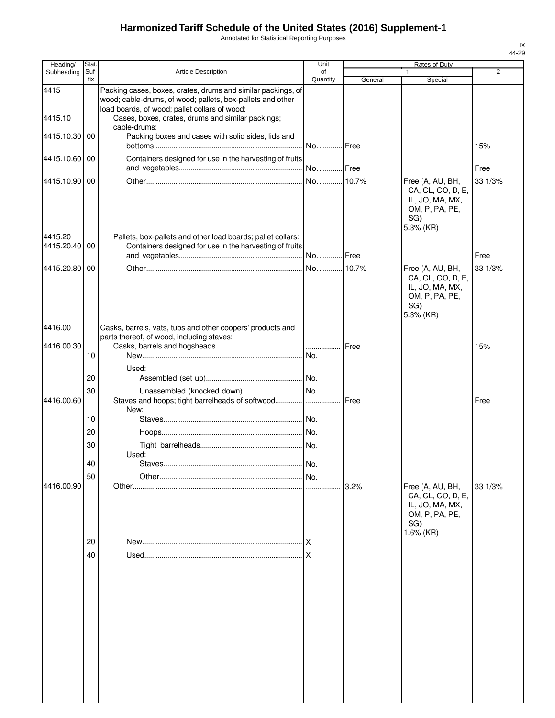Annotated for Statistical Reporting Purposes

| Heading/              | Stat        |                                                                                                                                                                             | Unit           |              | Rates of Duty                                                                                  |                |
|-----------------------|-------------|-----------------------------------------------------------------------------------------------------------------------------------------------------------------------------|----------------|--------------|------------------------------------------------------------------------------------------------|----------------|
| Subheading            | Suf-<br>fix | Article Description                                                                                                                                                         | of<br>Quantity | General      |                                                                                                | $\overline{2}$ |
| 4415                  |             | Packing cases, boxes, crates, drums and similar packings, of<br>wood; cable-drums, of wood; pallets, box-pallets and other<br>load boards, of wood; pallet collars of wood: |                |              | Special                                                                                        |                |
| 4415.10               |             | Cases, boxes, crates, drums and similar packings;<br>cable-drums:                                                                                                           |                |              |                                                                                                |                |
| 4415.10.30            | 00          | Packing boxes and cases with solid sides, lids and                                                                                                                          | No Free        |              |                                                                                                | 15%            |
| 4415.10.60            | 00          | Containers designed for use in the harvesting of fruits                                                                                                                     | No Free        |              |                                                                                                | Free           |
| 4415.10.90            | 00          |                                                                                                                                                                             |                |              | Free (A, AU, BH,<br>CA, CL, CO, D, E,                                                          | 33 1/3%        |
|                       |             |                                                                                                                                                                             |                |              | IL, JO, MA, MX,<br>OM, P, PA, PE,<br>SG)<br>5.3% (KR)                                          |                |
| 4415.20<br>4415.20.40 | 00          | Pallets, box-pallets and other load boards; pallet collars:<br>Containers designed for use in the harvesting of fruits                                                      |                |              |                                                                                                | Free           |
|                       |             |                                                                                                                                                                             |                |              |                                                                                                |                |
| 4415.20.80            | 00          |                                                                                                                                                                             |                |              | Free (A, AU, BH,<br>CA, CL, CO, D, E,<br>IL, JO, MA, MX,<br>OM, P, PA, PE,<br>SG)<br>5.3% (KR) | 33 1/3%        |
| 4416.00               |             | Casks, barrels, vats, tubs and other coopers' products and<br>parts thereof, of wood, including staves:                                                                     |                |              |                                                                                                |                |
| 4416.00.30            |             |                                                                                                                                                                             |                | Free         |                                                                                                | 15%            |
|                       | 10          |                                                                                                                                                                             |                |              |                                                                                                |                |
|                       |             | Used:                                                                                                                                                                       |                |              |                                                                                                |                |
|                       | 20          |                                                                                                                                                                             |                |              |                                                                                                |                |
| 4416.00.60            | 30          | Staves and hoops; tight barrelheads of softwood <br>New:                                                                                                                    |                | <b>IFree</b> |                                                                                                | Free           |
|                       | 10          |                                                                                                                                                                             |                |              |                                                                                                |                |
|                       | 20          |                                                                                                                                                                             |                |              |                                                                                                |                |
|                       | 30          |                                                                                                                                                                             |                |              |                                                                                                |                |
|                       |             | Used:                                                                                                                                                                       |                |              |                                                                                                |                |
|                       | 40          |                                                                                                                                                                             |                |              |                                                                                                |                |
|                       | 50          |                                                                                                                                                                             |                |              |                                                                                                |                |
| 4416.00.90            |             |                                                                                                                                                                             |                | 3.2%         | Free (A, AU, BH,<br>CA, CL, CO, D, E,<br>IL, JO, MA, MX,<br>OM, P, PA, PE,<br>SG)              | 33 1/3%        |
|                       | 20          |                                                                                                                                                                             | .IX            |              | 1.6% (KR)                                                                                      |                |
|                       | 40          |                                                                                                                                                                             |                |              |                                                                                                |                |
|                       |             |                                                                                                                                                                             |                |              |                                                                                                |                |
|                       |             |                                                                                                                                                                             |                |              |                                                                                                |                |
|                       |             |                                                                                                                                                                             |                |              |                                                                                                |                |
|                       |             |                                                                                                                                                                             |                |              |                                                                                                |                |
|                       |             |                                                                                                                                                                             |                |              |                                                                                                |                |
|                       |             |                                                                                                                                                                             |                |              |                                                                                                |                |
|                       |             |                                                                                                                                                                             |                |              |                                                                                                |                |
|                       |             |                                                                                                                                                                             |                |              |                                                                                                |                |
|                       |             |                                                                                                                                                                             |                |              |                                                                                                |                |
|                       |             |                                                                                                                                                                             |                |              |                                                                                                |                |
|                       |             |                                                                                                                                                                             |                |              |                                                                                                |                |
|                       |             |                                                                                                                                                                             |                |              |                                                                                                |                |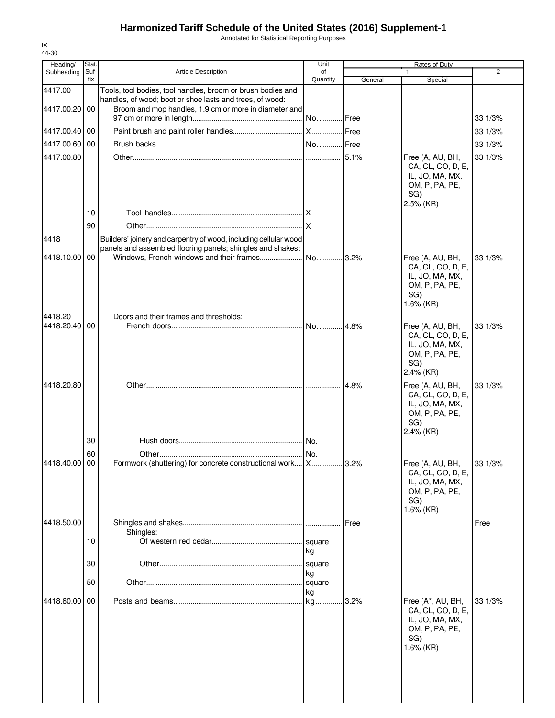Annotated for Statistical Reporting Purposes

| 44-30                    |               |                                                                                                                                                                                  |                    |         |                                                                                                   |         |
|--------------------------|---------------|----------------------------------------------------------------------------------------------------------------------------------------------------------------------------------|--------------------|---------|---------------------------------------------------------------------------------------------------|---------|
| Heading/<br>Subheading   | Stat.<br>Suf- | <b>Article Description</b>                                                                                                                                                       | Unit<br>of         |         | Rates of Duty<br>1                                                                                | 2       |
|                          | fix           |                                                                                                                                                                                  | Quantity           | General | Special                                                                                           |         |
| 4417.00<br>4417.00.20 00 |               | Tools, tool bodies, tool handles, broom or brush bodies and<br>handles, of wood; boot or shoe lasts and trees, of wood:<br>Broom and mop handles, 1.9 cm or more in diameter and |                    |         |                                                                                                   |         |
|                          |               |                                                                                                                                                                                  |                    |         |                                                                                                   | 33 1/3% |
| 4417.00.40               | 00            |                                                                                                                                                                                  |                    |         |                                                                                                   | 33 1/3% |
| 4417.00.60 00            |               |                                                                                                                                                                                  |                    |         |                                                                                                   | 33 1/3% |
| 4417.00.80               |               |                                                                                                                                                                                  |                    |         | Free (A, AU, BH,                                                                                  | 33 1/3% |
|                          |               |                                                                                                                                                                                  |                    |         | CA, CL, CO, D, E,<br>IL, JO, MA, MX,<br>OM, P, PA, PE,<br>SG)<br>2.5% (KR)                        |         |
|                          | 10            |                                                                                                                                                                                  |                    |         |                                                                                                   |         |
|                          | 90            |                                                                                                                                                                                  |                    |         |                                                                                                   |         |
| 4418                     |               | Builders' joinery and carpentry of wood, including cellular wood<br>panels and assembled flooring panels; shingles and shakes:                                                   |                    |         |                                                                                                   |         |
| 4418.10.00               | 00            |                                                                                                                                                                                  |                    |         | Free (A, AU, BH,<br>CA, CL, CO, D, E,<br>IL, JO, MA, MX,<br>OM, P, PA, PE,<br>SG)<br>$1.6\%$ (KR) | 33 1/3% |
| 4418.20                  |               | Doors and their frames and thresholds:                                                                                                                                           |                    |         |                                                                                                   |         |
| 4418.20.40               | 00            |                                                                                                                                                                                  |                    |         | Free (A, AU, BH,<br>CA, CL, CO, D, E,<br>IL, JO, MA, MX,<br>OM, P, PA, PE,<br>SG)<br>2.4% (KR)    | 33 1/3% |
| 4418.20.80               |               |                                                                                                                                                                                  |                    | 4.8%    | Free (A, AU, BH,<br>CA, CL, CO, D, E,<br>IL, JO, MA, MX,<br>OM, P, PA, PE,<br>SG)<br>2.4% (KR)    | 33 1/3% |
|                          | 30            |                                                                                                                                                                                  |                    |         |                                                                                                   |         |
|                          | 60            |                                                                                                                                                                                  |                    |         |                                                                                                   |         |
| 4418.40.00 00            |               | Formwork (shuttering) for concrete constructional work X                                                                                                                         |                    | .3.2%   | Free (A, AU, BH,<br>CA, CL, CO, D, E,<br>IL, JO, MA, MX,<br>OM, P, PA, PE,<br>SG)<br>1.6% (KR)    | 33 1/3% |
| 4418.50.00               |               |                                                                                                                                                                                  |                    | Free    |                                                                                                   | Free    |
|                          | 10            | Shingles:                                                                                                                                                                        | square             |         |                                                                                                   |         |
|                          | 30            |                                                                                                                                                                                  | kg<br>square<br>kg |         |                                                                                                   |         |
|                          | 50            |                                                                                                                                                                                  | square<br>kg       |         |                                                                                                   |         |
| 4418.60.00 00            |               |                                                                                                                                                                                  |                    | 3.2%    | Free (A*, AU, BH,<br>CA, CL, CO, D, E,<br>IL, JO, MA, MX,<br>OM, P, PA, PE,<br>SG)<br>1.6% (KR)   | 33 1/3% |
|                          |               |                                                                                                                                                                                  |                    |         |                                                                                                   |         |

IX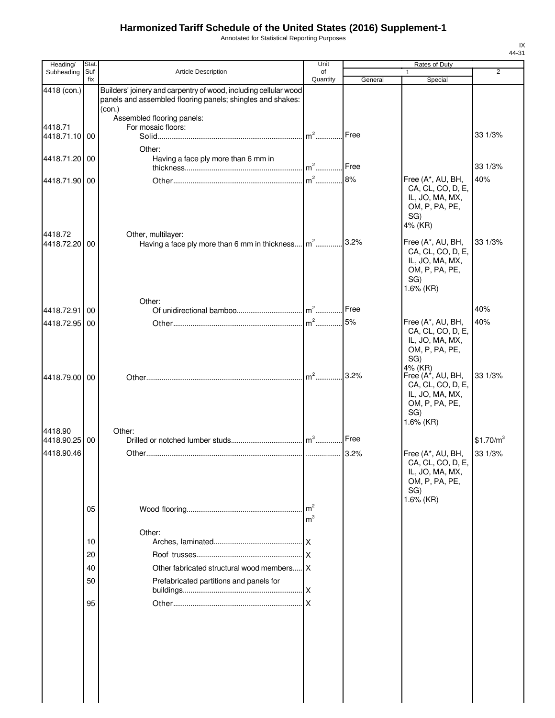Annotated for Statistical Reporting Purposes

| Heading/                    | Stat.       |                                                                                                                                          | Unit                             |         | Rates of Duty                                                                                                       |                                  |
|-----------------------------|-------------|------------------------------------------------------------------------------------------------------------------------------------------|----------------------------------|---------|---------------------------------------------------------------------------------------------------------------------|----------------------------------|
| Subheading                  | Suf-<br>fix | Article Description                                                                                                                      | of<br>Quantity                   | General | Special                                                                                                             | $\overline{2}$                   |
| 4418 (con.)                 |             | Builders' joinery and carpentry of wood, including cellular wood<br>panels and assembled flooring panels; shingles and shakes:<br>(con.) |                                  |         |                                                                                                                     |                                  |
| 4418.71<br>4418.71.10 00    |             | Assembled flooring panels:<br>For mosaic floors:                                                                                         |                                  | Free    |                                                                                                                     | 33 1/3%                          |
| 4418.71.20 00               |             | Other:<br>Having a face ply more than 6 mm in                                                                                            |                                  | Free    |                                                                                                                     | 33 1/3%                          |
| 4418.71.90 00               |             |                                                                                                                                          |                                  | 8%      | Free (A*, AU, BH,<br>CA, CL, CO, D, E,<br>IL, JO, MA, MX,<br>OM, P, PA, PE,<br>SG)<br>4% (KR)                       | 40%                              |
| 4418.72<br>4418.72.20 00    |             | Other, multilayer:<br>Having a face ply more than 6 mm in thickness m <sup>2</sup>                                                       |                                  | 3.2%    | Free (A*, AU, BH,<br>CA, CL, CO, D, E,<br>IL, JO, MA, MX,<br>OM, P, PA, PE,<br>SG)<br>1.6% (KR)                     | 33 1/3%                          |
| 4418.72.91                  | 00          | Other:                                                                                                                                   |                                  | Free    |                                                                                                                     | 40%                              |
| 4418.72.95                  | 00          |                                                                                                                                          | $m^2$                            | 5%      | Free (A*, AU, BH,<br>CA, CL, CO, D, E,<br>IL, JO, MA, MX,<br>OM, P, PA, PE,<br>SG)                                  | 40%                              |
| 4418.79.00 00               |             |                                                                                                                                          | $m2$                             | 3.2%    | 4% (KR)<br>Free $(A^{\star}, AU, BH,$<br>CA, CL, CO, D, E,<br>IL, JO, MA, MX,<br>OM, P, PA, PE,<br>SG)<br>1.6% (KR) | 33 1/3%                          |
| 4418.90                     |             | Other:                                                                                                                                   |                                  |         |                                                                                                                     |                                  |
| 4418.90.25 00<br>4418.90.46 |             |                                                                                                                                          |                                  | Free    | Free (A*, AU, BH,<br>CA, CL, CO, D, E,<br>IL, JO, MA, MX,<br>OM, P, PA, PE,<br>SG)                                  | \$1.70/m <sup>3</sup><br>33 1/3% |
|                             | 05          |                                                                                                                                          | m <sup>2</sup><br>m <sup>3</sup> |         | 1.6% (KR)                                                                                                           |                                  |
|                             |             | Other:                                                                                                                                   |                                  |         |                                                                                                                     |                                  |
|                             | 10          |                                                                                                                                          |                                  |         |                                                                                                                     |                                  |
|                             | 20          |                                                                                                                                          |                                  |         |                                                                                                                     |                                  |
|                             | 40          | Other fabricated structural wood members X                                                                                               |                                  |         |                                                                                                                     |                                  |
|                             | 50          | Prefabricated partitions and panels for                                                                                                  |                                  |         |                                                                                                                     |                                  |
|                             | 95          |                                                                                                                                          |                                  |         |                                                                                                                     |                                  |
|                             |             |                                                                                                                                          |                                  |         |                                                                                                                     |                                  |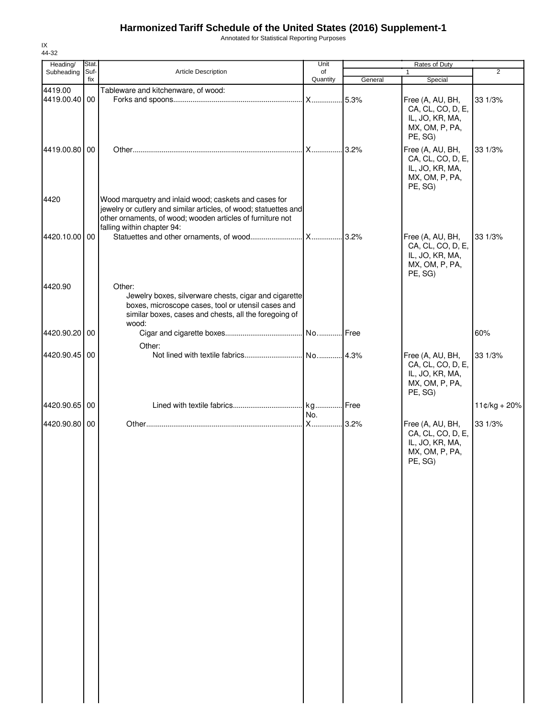Annotated for Statistical Reporting Purposes

| Heading/<br>Subheading   | Stat.<br>Suf- | Article Description                                                                                                                                                                                                   | Unit<br>of |         | Rates of Duty<br>$\mathbf{1}$                                                         | 2              |
|--------------------------|---------------|-----------------------------------------------------------------------------------------------------------------------------------------------------------------------------------------------------------------------|------------|---------|---------------------------------------------------------------------------------------|----------------|
|                          | fix           |                                                                                                                                                                                                                       | Quantity   | General | Special                                                                               |                |
| 4419.00<br>4419.00.40 00 |               | Tableware and kitchenware, of wood:                                                                                                                                                                                   |            |         | Free (A, AU, BH,<br>CA, CL, CO, D, E,<br>IL, JO, KR, MA,<br>MX, OM, P, PA,<br>PE, SG) | 33 1/3%        |
| 4419.00.80 00            |               |                                                                                                                                                                                                                       |            | 3.2%    | Free (A, AU, BH,<br>CA, CL, CO, D, E,<br>IL, JO, KR, MA,<br>MX, OM, P, PA,<br>PE, SG) | 33 1/3%        |
| 4420                     |               | Wood marquetry and inlaid wood; caskets and cases for<br>jewelry or cutlery and similar articles, of wood; statuettes and<br>other ornaments, of wood; wooden articles of furniture not<br>falling within chapter 94: |            |         |                                                                                       |                |
| 4420.10.00 00            |               |                                                                                                                                                                                                                       |            |         | Free (A, AU, BH,<br>CA, CL, CO, D, E,<br>IL, JO, KR, MA,<br>MX, OM, P, PA,<br>PE, SG) | 33 1/3%        |
| 4420.90                  |               | Other:<br>Jewelry boxes, silverware chests, cigar and cigarette<br>boxes, microscope cases, tool or utensil cases and<br>similar boxes, cases and chests, all the foregoing of<br>wood:                               |            |         |                                                                                       |                |
| 4420.90.20 00            |               |                                                                                                                                                                                                                       |            |         |                                                                                       | 60%            |
| 4420.90.45 00            |               | Other:                                                                                                                                                                                                                |            |         | Free (A, AU, BH,<br>CA, CL, CO, D, E,<br>IL, JO, KR, MA,<br>MX, OM, P, PA,<br>PE, SG) | 33 1/3%        |
| 4420.90.65 00            |               |                                                                                                                                                                                                                       | No.        |         |                                                                                       | $11¢/kg + 20%$ |
| 4420.90.80 00            |               |                                                                                                                                                                                                                       |            |         | Free (A, AU, BH,<br>CA, CL, CO, D, E,<br>IL, JO, KR, MA,<br>MX, OM, P, PA,<br>PE, SG) | 33 1/3%        |
|                          |               |                                                                                                                                                                                                                       |            |         |                                                                                       |                |
|                          |               |                                                                                                                                                                                                                       |            |         |                                                                                       |                |
|                          |               |                                                                                                                                                                                                                       |            |         |                                                                                       |                |
|                          |               |                                                                                                                                                                                                                       |            |         |                                                                                       |                |
|                          |               |                                                                                                                                                                                                                       |            |         |                                                                                       |                |

IX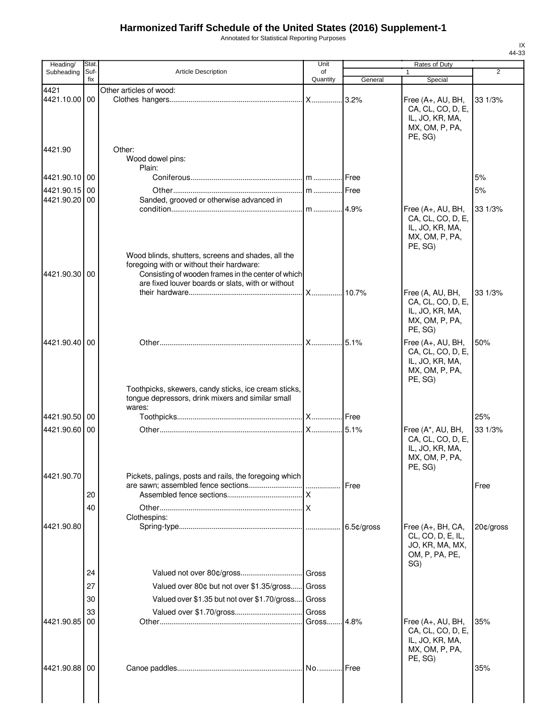Annotated for Statistical Reporting Purposes

| Heading/                    | Stat.       |                                                                                                           | Unit           |            | Rates of Duty                                                                          |                |
|-----------------------------|-------------|-----------------------------------------------------------------------------------------------------------|----------------|------------|----------------------------------------------------------------------------------------|----------------|
| Subheading                  | Suf-<br>fix | <b>Article Description</b>                                                                                | of<br>Quantity | General    | Special                                                                                | $\overline{2}$ |
| 4421                        |             | Other articles of wood:                                                                                   |                |            |                                                                                        |                |
| 4421.10.00 00               |             |                                                                                                           |                | .3.2%      | Free (A+, AU, BH,<br>CA, CL, CO, D, E,<br>IL, JO, KR, MA,<br>MX, OM, P, PA,<br>PE, SG) | 33 1/3%        |
| 4421.90                     |             | Other:<br>Wood dowel pins:<br>Plain:                                                                      |                |            |                                                                                        |                |
| 4421.90.10 00               |             |                                                                                                           |                |            |                                                                                        | 5%             |
| 4421.90.15                  | 00          |                                                                                                           |                | Free       |                                                                                        | 5%             |
| 4421.90.20 00               |             | Sanded, grooved or otherwise advanced in                                                                  |                |            |                                                                                        |                |
|                             |             | Wood blinds, shutters, screens and shades, all the                                                        |                | .4.9%      | Free (A+, AU, BH,<br>CA, CL, CO, D, E,<br>IL, JO, KR, MA,<br>MX, OM, P, PA,<br>PE, SG) | 33 1/3%        |
| 4421.90.30 00               |             | foregoing with or without their hardware:<br>Consisting of wooden frames in the center of which           |                |            |                                                                                        |                |
|                             |             | are fixed louver boards or slats, with or without                                                         |                |            |                                                                                        |                |
|                             |             |                                                                                                           | <b>X</b>       | .10.7%     | Free (A, AU, BH,<br>CA, CL, CO, D, E,<br>IL, JO, KR, MA,<br>MX, OM, P, PA,<br>PE, SG)  | 33 1/3%        |
| 4421.90.40 00               |             | Toothpicks, skewers, candy sticks, ice cream sticks,<br>tongue depressors, drink mixers and similar small | <b>X</b>       | 5.1%       | Free (A+, AU, BH,<br>CA, CL, CO, D, E,<br>IL, JO, KR, MA,<br>MX, OM, P, PA,<br>PE, SG) | 50%            |
|                             |             | wares:                                                                                                    |                |            |                                                                                        |                |
| 4421.90.50 00               |             |                                                                                                           |                |            |                                                                                        | 25%            |
| 4421.90.60 00<br>4421.90.70 |             | Pickets, palings, posts and rails, the foregoing which                                                    | <b>X</b>       | 5.1%       | Free (A*, AU, BH,<br>CA, CL, CO, D, E,<br>IL, JO, KR, MA,<br>MX, OM, P, PA,<br>PE, SG) | 33 1/3%        |
|                             |             |                                                                                                           |                | Free       |                                                                                        | Free           |
|                             | 20          |                                                                                                           |                |            |                                                                                        |                |
|                             | 40          |                                                                                                           |                |            |                                                                                        |                |
| 4421.90.80                  |             | Clothespins:                                                                                              |                | 6.5¢/gross | Free (A+, BH, CA,<br>CL, CO, D, E, IL,<br>JO, KR, MA, MX,<br>OM, P, PA, PE,<br>SG)     | 20¢/gross      |
|                             | 24          |                                                                                                           |                |            |                                                                                        |                |
|                             | 27          | Valued over 80¢ but not over \$1.35/gross Gross                                                           |                |            |                                                                                        |                |
|                             | 30          | Valued over \$1.35 but not over \$1.70/gross Gross                                                        |                |            |                                                                                        |                |
|                             | 33          |                                                                                                           | Gross          |            |                                                                                        |                |
| 4421.90.85                  | 00          |                                                                                                           | Gross          | 4.8%       | Free (A+, AU, BH,<br>CA, CL, CO, D, E,<br>IL, JO, KR, MA,<br>MX, OM, P, PA,<br>PE, SG) | 35%            |
| 4421.90.88 00               |             |                                                                                                           |                | .l Free    |                                                                                        | 35%            |